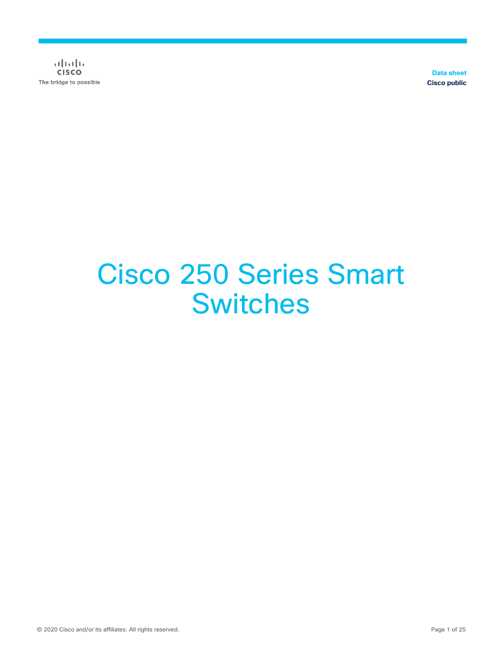$\frac{1}{2}$ The bridge to possible

**Data sheet Cisco public**

# Cisco 250 Series Smart **Switches**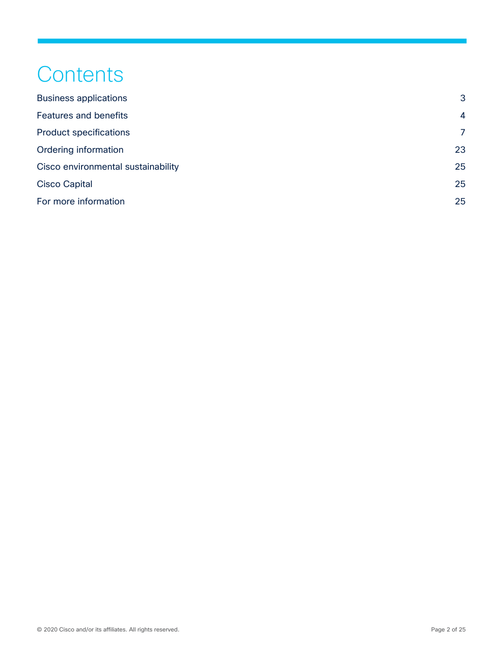## **Contents**

| <b>Business applications</b>       | 3              |
|------------------------------------|----------------|
| <b>Features and benefits</b>       | $\overline{4}$ |
| <b>Product specifications</b>      | 7              |
| Ordering information               | 23             |
| Cisco environmental sustainability | 25             |
| <b>Cisco Capital</b>               | 25             |
| For more information               | 25             |
|                                    |                |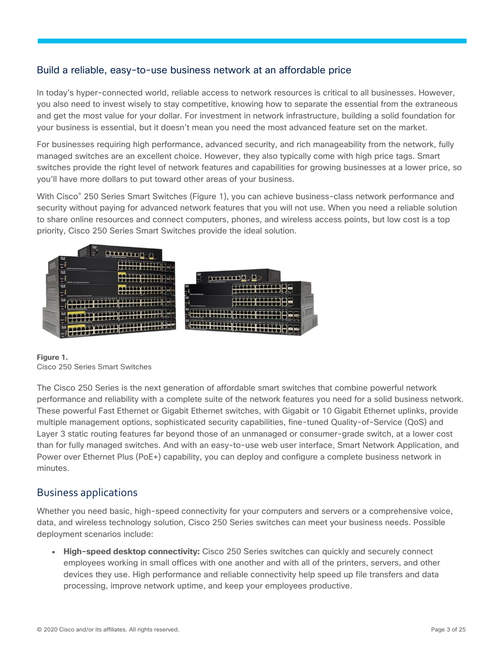### Build a reliable, easy-to-use business network at an affordable price

In today's hyper-connected world, reliable access to network resources is critical to all businesses. However, you also need to invest wisely to stay competitive, knowing how to separate the essential from the extraneous and get the most value for your dollar. For investment in network infrastructure, building a solid foundation for your business is essential, but it doesn't mean you need the most advanced feature set on the market.

For businesses requiring high performance, advanced security, and rich manageability from the network, fully managed switches are an excellent choice. However, they also typically come with high price tags. Smart switches provide the right level of network features and capabilities for growing businesses at a lower price, so you'll have more dollars to put toward other areas of your business.

With Cisco<sup>®</sup> 250 Series Smart Switches (Figure 1), you can achieve business-class network performance and security without paying for advanced network features that you will not use. When you need a reliable solution to share online resources and connect computers, phones, and wireless access points, but low cost is a top priority, Cisco 250 Series Smart Switches provide the ideal solution.



**Figure 1.**  Cisco 250 Series Smart Switches

The Cisco 250 Series is the next generation of affordable smart switches that combine powerful network performance and reliability with a complete suite of the network features you need for a solid business network. These powerful Fast Ethernet or Gigabit Ethernet switches, with Gigabit or 10 Gigabit Ethernet uplinks, provide multiple management options, sophisticated security capabilities, fine-tuned Quality-of-Service (QoS) and Layer 3 static routing features far beyond those of an unmanaged or consumer-grade switch, at a lower cost than for fully managed switches. And with an easy-to-use web user interface, Smart Network Application, and Power over Ethernet Plus (PoE+) capability, you can deploy and configure a complete business network in minutes.

### <span id="page-2-0"></span>Business applications

Whether you need basic, high-speed connectivity for your computers and servers or a comprehensive voice, data, and wireless technology solution, Cisco 250 Series switches can meet your business needs. Possible deployment scenarios include:

● **High-speed desktop connectivity:** Cisco 250 Series switches can quickly and securely connect employees working in small offices with one another and with all of the printers, servers, and other devices they use. High performance and reliable connectivity help speed up file transfers and data processing, improve network uptime, and keep your employees productive.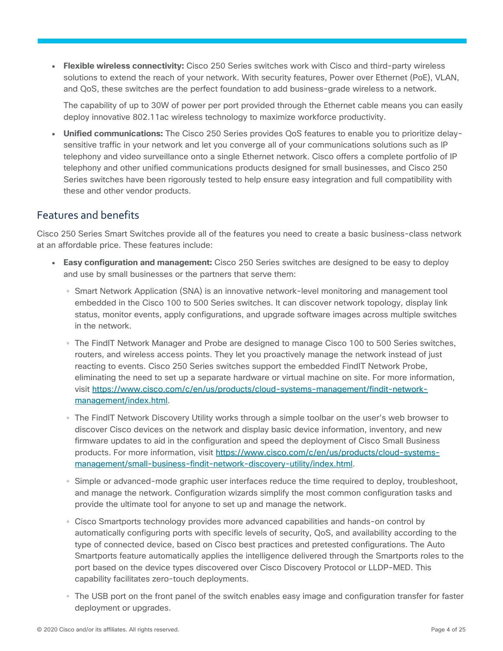● **Flexible wireless connectivity:** Cisco 250 Series switches work with Cisco and third-party wireless solutions to extend the reach of your network. With security features, Power over Ethernet (PoE), VLAN, and QoS, these switches are the perfect foundation to add business-grade wireless to a network.

The capability of up to 30W of power per port provided through the Ethernet cable means you can easily deploy innovative 802.11ac wireless technology to maximize workforce productivity.

• Unified communications: The Cisco 250 Series provides QoS features to enable you to prioritize delaysensitive traffic in your network and let you converge all of your communications solutions such as IP telephony and video surveillance onto a single Ethernet network. Cisco offers a complete portfolio of IP telephony and other unified communications products designed for small businesses, and Cisco 250 Series switches have been rigorously tested to help ensure easy integration and full compatibility with these and other vendor products.

### <span id="page-3-0"></span>Features and benefits

Cisco 250 Series Smart Switches provide all of the features you need to create a basic business-class network at an affordable price. These features include:

- **Easy configuration and management:** Cisco 250 Series switches are designed to be easy to deploy and use by small businesses or the partners that serve them:
	- Smart Network Application (SNA) is an innovative network-level monitoring and management tool embedded in the Cisco 100 to 500 Series switches. It can discover network topology, display link status, monitor events, apply configurations, and upgrade software images across multiple switches in the network.
	- The FindIT Network Manager and Probe are designed to manage Cisco 100 to 500 Series switches, routers, and wireless access points. They let you proactively manage the network instead of just reacting to events. Cisco 250 Series switches support the embedded FindIT Network Probe, eliminating the need to set up a separate hardware or virtual machine on site. For more information, visit [https://www.cisco.com/c/en/us/products/cloud-systems-management/findit-network](https://www.cisco.com/c/en/us/products/cloud-systems-management/findit-network-management/index.html)[management/index.html.](https://www.cisco.com/c/en/us/products/cloud-systems-management/findit-network-management/index.html)
	- The FindIT Network Discovery Utility works through a simple toolbar on the user's web browser to discover Cisco devices on the network and display basic device information, inventory, and new firmware updates to aid in the configuration and speed the deployment of Cisco Small Business products. For more information, visit [https://www.cisco.com/c/en/us/products/cloud-systems](https://www.cisco.com/c/en/us/products/cloud-systems-management/small-business-findit-network-discovery-utility/index.html)[management/small-business-findit-network-discovery-utility/index.html.](https://www.cisco.com/c/en/us/products/cloud-systems-management/small-business-findit-network-discovery-utility/index.html)
	- Simple or advanced-mode graphic user interfaces reduce the time required to deploy, troubleshoot, and manage the network. Configuration wizards simplify the most common configuration tasks and provide the ultimate tool for anyone to set up and manage the network.
	- Cisco Smartports technology provides more advanced capabilities and hands-on control by automatically configuring ports with specific levels of security, QoS, and availability according to the type of connected device, based on Cisco best practices and pretested configurations. The Auto Smartports feature automatically applies the intelligence delivered through the Smartports roles to the port based on the device types discovered over Cisco Discovery Protocol or LLDP-MED. This capability facilitates zero-touch deployments.
	- The USB port on the front panel of the switch enables easy image and configuration transfer for faster deployment or upgrades.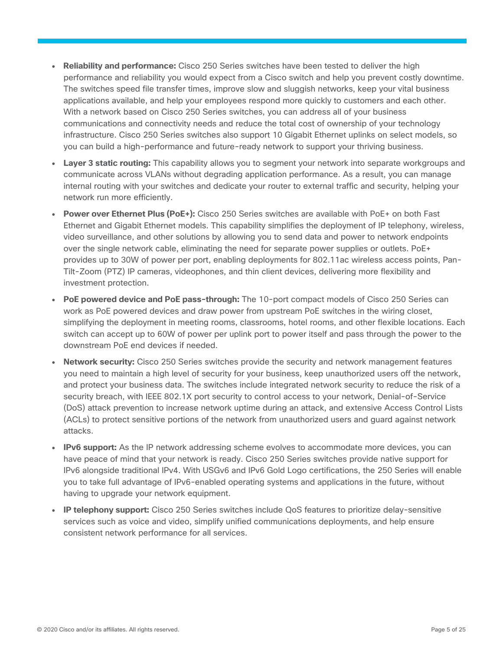- **Reliability and performance:** Cisco 250 Series switches have been tested to deliver the high performance and reliability you would expect from a Cisco switch and help you prevent costly downtime. The switches speed file transfer times, improve slow and sluggish networks, keep your vital business applications available, and help your employees respond more quickly to customers and each other. With a network based on Cisco 250 Series switches, you can address all of your business communications and connectivity needs and reduce the total cost of ownership of your technology infrastructure. Cisco 250 Series switches also support 10 Gigabit Ethernet uplinks on select models, so you can build a high-performance and future-ready network to support your thriving business.
- Layer 3 static routing: This capability allows you to segment your network into separate workgroups and communicate across VLANs without degrading application performance. As a result, you can manage internal routing with your switches and dedicate your router to external traffic and security, helping your network run more efficiently.
- Power over Ethernet Plus (PoE+): Cisco 250 Series switches are available with PoE+ on both Fast Ethernet and Gigabit Ethernet models. This capability simplifies the deployment of IP telephony, wireless, video surveillance, and other solutions by allowing you to send data and power to network endpoints over the single network cable, eliminating the need for separate power supplies or outlets. PoE+ provides up to 30W of power per port, enabling deployments for 802.11ac wireless access points, Pan-Tilt-Zoom (PTZ) IP cameras, videophones, and thin client devices, delivering more flexibility and investment protection.
- **PoE powered device and PoE pass-through:** The 10-port compact models of Cisco 250 Series can work as PoE powered devices and draw power from upstream PoE switches in the wiring closet, simplifying the deployment in meeting rooms, classrooms, hotel rooms, and other flexible locations. Each switch can accept up to 60W of power per uplink port to power itself and pass through the power to the downstream PoE end devices if needed.
- **Network security:** Cisco 250 Series switches provide the security and network management features you need to maintain a high level of security for your business, keep unauthorized users off the network, and protect your business data. The switches include integrated network security to reduce the risk of a security breach, with IEEE 802.1X port security to control access to your network, Denial-of-Service (DoS) attack prevention to increase network uptime during an attack, and extensive Access Control Lists (ACLs) to protect sensitive portions of the network from unauthorized users and guard against network attacks.
- **IPv6 support:** As the IP network addressing scheme evolves to accommodate more devices, you can have peace of mind that your network is ready. Cisco 250 Series switches provide native support for IPv6 alongside traditional IPv4. With USGv6 and IPv6 Gold Logo certifications, the 250 Series will enable you to take full advantage of IPv6-enabled operating systems and applications in the future, without having to upgrade your network equipment.
- **IP telephony support:** Cisco 250 Series switches include QoS features to prioritize delay-sensitive services such as voice and video, simplify unified communications deployments, and help ensure consistent network performance for all services.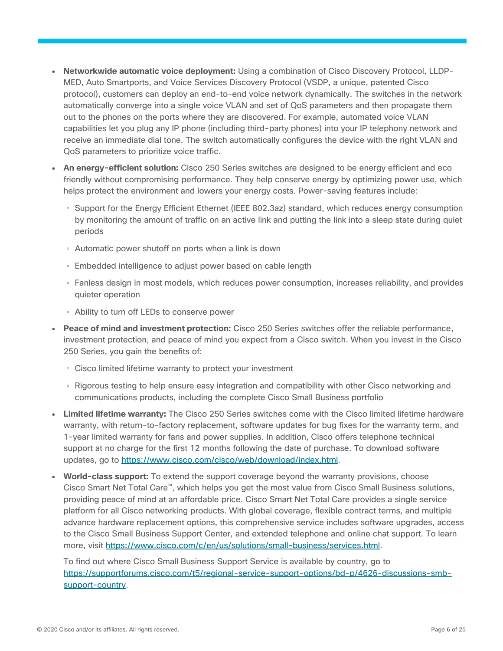- **Networkwide automatic voice deployment:** Using a combination of Cisco Discovery Protocol, LLDP-MED, Auto Smartports, and Voice Services Discovery Protocol (VSDP, a unique, patented Cisco protocol), customers can deploy an end-to-end voice network dynamically. The switches in the network automatically converge into a single voice VLAN and set of QoS parameters and then propagate them out to the phones on the ports where they are discovered. For example, automated voice VLAN capabilities let you plug any IP phone (including third-party phones) into your IP telephony network and receive an immediate dial tone. The switch automatically configures the device with the right VLAN and QoS parameters to prioritize voice traffic.
- An energy-efficient solution: Cisco 250 Series switches are designed to be energy efficient and eco friendly without compromising performance. They help conserve energy by optimizing power use, which helps protect the environment and lowers your energy costs. Power-saving features include:
	- Support for the Energy Efficient Ethernet (IEEE 802.3az) standard, which reduces energy consumption by monitoring the amount of traffic on an active link and putting the link into a sleep state during quiet periods
	- Automatic power shutoff on ports when a link is down
	- Embedded intelligence to adjust power based on cable length
	- Fanless design in most models, which reduces power consumption, increases reliability, and provides quieter operation
	- Ability to turn off LEDs to conserve power
- **Peace of mind and investment protection:** Cisco 250 Series switches offer the reliable performance, investment protection, and peace of mind you expect from a Cisco switch. When you invest in the Cisco 250 Series, you gain the benefits of:
	- Cisco limited lifetime warranty to protect your investment
	- Rigorous testing to help ensure easy integration and compatibility with other Cisco networking and communications products, including the complete Cisco Small Business portfolio
- **Limited lifetime warranty:** The Cisco 250 Series switches come with the Cisco limited lifetime hardware warranty, with return-to-factory replacement, software updates for bug fixes for the warranty term, and 1-year limited warranty for fans and power supplies. In addition, Cisco offers telephone technical support at no charge for the first 12 months following the date of purchase. To download software updates, go to [https://www.cisco.com/cisco/web/download/index.html.](https://www.cisco.com/cisco/web/download/index.html)
- **World-class support:** To extend the support coverage beyond the warranty provisions, choose Cisco Smart Net Total Care™, which helps you get the most value from Cisco Small Business solutions, providing peace of mind at an affordable price. Cisco Smart Net Total Care provides a single service platform for all Cisco networking products. With global coverage, flexible contract terms, and multiple advance hardware replacement options, this comprehensive service includes software upgrades, access to the Cisco Small Business Support Center, and extended telephone and online chat support. To learn more, visit [https://www.cisco.com/c/en/us/solutions/small-business/services.html.](https://www.cisco.com/c/en/us/solutions/small-business/services.html)

To find out where Cisco Small Business Support Service is available by country, go to [https://supportforums.cisco.com/t5/regional-service-support-options/bd-p/4626-discussions-smb](https://supportforums.cisco.com/t5/regional-service-support-options/bd-p/4626-discussions-smb-support-country)[support-country.](https://supportforums.cisco.com/t5/regional-service-support-options/bd-p/4626-discussions-smb-support-country)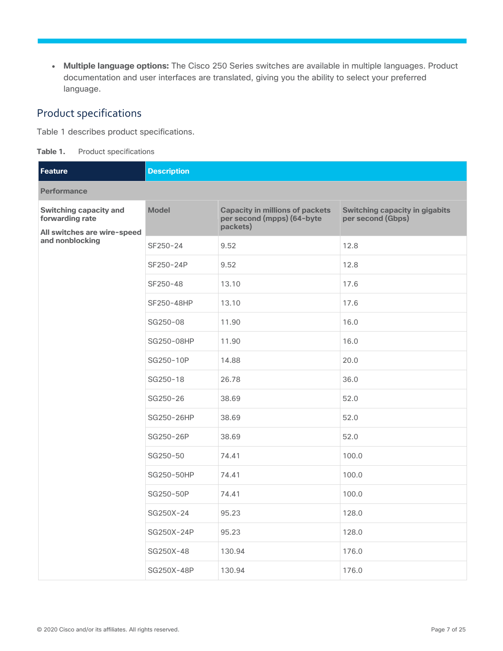● **Multiple language options:** The Cisco 250 Series switches are available in multiple languages. Product documentation and user interfaces are translated, giving you the ability to select your preferred language.

### <span id="page-6-0"></span>Product specifications

Table 1 describes product specifications.

**Table 1.** Product specifications

| Feature                                          | <b>Description</b> |                                                                                  |                                                            |  |  |
|--------------------------------------------------|--------------------|----------------------------------------------------------------------------------|------------------------------------------------------------|--|--|
| <b>Performance</b>                               |                    |                                                                                  |                                                            |  |  |
| <b>Switching capacity and</b><br>forwarding rate | <b>Model</b>       | <b>Capacity in millions of packets</b><br>per second (mpps) (64-byte<br>packets) | <b>Switching capacity in gigabits</b><br>per second (Gbps) |  |  |
| All switches are wire-speed<br>and nonblocking   | SF250-24           | 9.52                                                                             | 12.8                                                       |  |  |
|                                                  | SF250-24P          | 9.52                                                                             | 12.8                                                       |  |  |
|                                                  | SF250-48           | 13.10                                                                            | 17.6                                                       |  |  |
|                                                  | SF250-48HP         | 13.10                                                                            | 17.6                                                       |  |  |
|                                                  | SG250-08           | 11.90                                                                            | 16.0                                                       |  |  |
|                                                  | SG250-08HP         | 11.90                                                                            | 16.0                                                       |  |  |
|                                                  | SG250-10P          | 14.88                                                                            | 20.0                                                       |  |  |
|                                                  | SG250-18           | 26.78                                                                            | 36.0                                                       |  |  |
|                                                  | SG250-26           | 38.69                                                                            | 52.0                                                       |  |  |
|                                                  | SG250-26HP         | 38.69                                                                            | 52.0                                                       |  |  |
|                                                  | SG250-26P          | 38.69                                                                            | 52.0                                                       |  |  |
|                                                  | SG250-50           | 74.41                                                                            | 100.0                                                      |  |  |
|                                                  | SG250-50HP         | 74.41                                                                            | 100.0                                                      |  |  |
|                                                  | SG250-50P          | 74.41                                                                            | 100.0                                                      |  |  |
|                                                  | SG250X-24          | 95.23                                                                            | 128.0                                                      |  |  |
|                                                  | SG250X-24P         | 95.23                                                                            | 128.0                                                      |  |  |
|                                                  | SG250X-48          | 130.94                                                                           | 176.0                                                      |  |  |
|                                                  | SG250X-48P         | 130.94                                                                           | 176.0                                                      |  |  |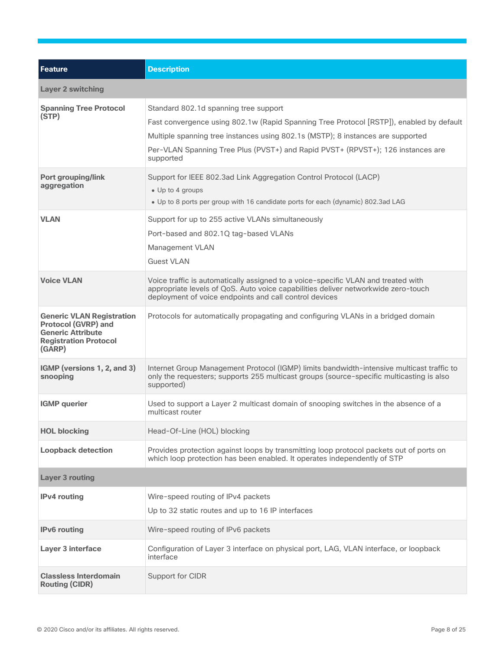| <b>Feature</b>                                                                                                                       | <b>Description</b>                                                                                                                                                                                                                                                                                                  |
|--------------------------------------------------------------------------------------------------------------------------------------|---------------------------------------------------------------------------------------------------------------------------------------------------------------------------------------------------------------------------------------------------------------------------------------------------------------------|
| <b>Layer 2 switching</b>                                                                                                             |                                                                                                                                                                                                                                                                                                                     |
| <b>Spanning Tree Protocol</b><br>(STP)                                                                                               | Standard 802.1d spanning tree support<br>Fast convergence using 802.1w (Rapid Spanning Tree Protocol [RSTP]), enabled by default<br>Multiple spanning tree instances using 802.1s (MSTP); 8 instances are supported<br>Per-VLAN Spanning Tree Plus (PVST+) and Rapid PVST+ (RPVST+); 126 instances are<br>supported |
| <b>Port grouping/link</b><br>aggregation                                                                                             | Support for IEEE 802.3ad Link Aggregation Control Protocol (LACP)<br>• Up to 4 groups<br>• Up to 8 ports per group with 16 candidate ports for each (dynamic) 802.3ad LAG                                                                                                                                           |
| <b>VLAN</b>                                                                                                                          | Support for up to 255 active VLANs simultaneously<br>Port-based and 802.1Q tag-based VLANs<br>Management VLAN<br><b>Guest VLAN</b>                                                                                                                                                                                  |
| <b>Voice VLAN</b>                                                                                                                    | Voice traffic is automatically assigned to a voice-specific VLAN and treated with<br>appropriate levels of QoS. Auto voice capabilities deliver networkwide zero-touch<br>deployment of voice endpoints and call control devices                                                                                    |
| <b>Generic VLAN Registration</b><br><b>Protocol (GVRP) and</b><br><b>Generic Attribute</b><br><b>Registration Protocol</b><br>(GARP) | Protocols for automatically propagating and configuring VLANs in a bridged domain                                                                                                                                                                                                                                   |
| IGMP (versions 1, 2, and 3)<br>snooping                                                                                              | Internet Group Management Protocol (IGMP) limits bandwidth-intensive multicast traffic to<br>only the requesters; supports 255 multicast groups (source-specific multicasting is also<br>supported)                                                                                                                 |
| <b>IGMP</b> querier                                                                                                                  | Used to support a Layer 2 multicast domain of snooping switches in the absence of a<br>multicast router                                                                                                                                                                                                             |
| <b>HOL blocking</b>                                                                                                                  | Head-Of-Line (HOL) blocking                                                                                                                                                                                                                                                                                         |
| <b>Loopback detection</b>                                                                                                            | Provides protection against loops by transmitting loop protocol packets out of ports on<br>which loop protection has been enabled. It operates independently of STP                                                                                                                                                 |
| <b>Layer 3 routing</b>                                                                                                               |                                                                                                                                                                                                                                                                                                                     |
| <b>IPv4</b> routing                                                                                                                  | Wire-speed routing of IPv4 packets<br>Up to 32 static routes and up to 16 IP interfaces                                                                                                                                                                                                                             |
| <b>IPv6</b> routing                                                                                                                  | Wire-speed routing of IPv6 packets                                                                                                                                                                                                                                                                                  |
| <b>Layer 3 interface</b>                                                                                                             | Configuration of Layer 3 interface on physical port, LAG, VLAN interface, or loopback<br>interface                                                                                                                                                                                                                  |
| <b>Classless Interdomain</b><br><b>Routing (CIDR)</b>                                                                                | Support for CIDR                                                                                                                                                                                                                                                                                                    |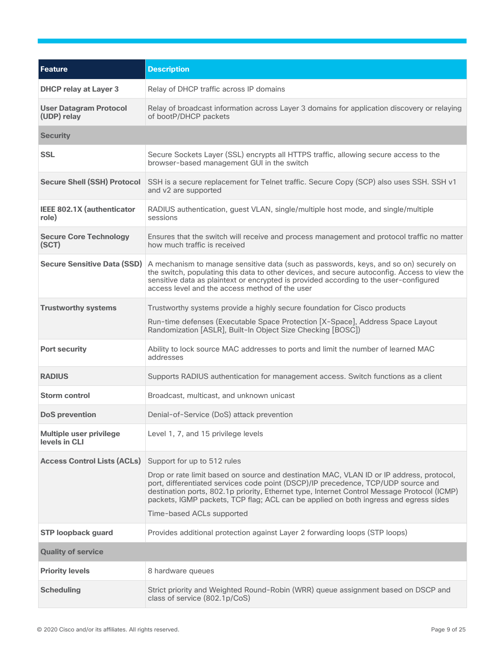| Feature                                         | <b>Description</b>                                                                                                                                                                                                                                                                                                                                                   |  |  |
|-------------------------------------------------|----------------------------------------------------------------------------------------------------------------------------------------------------------------------------------------------------------------------------------------------------------------------------------------------------------------------------------------------------------------------|--|--|
| <b>DHCP relay at Layer 3</b>                    | Relay of DHCP traffic across IP domains                                                                                                                                                                                                                                                                                                                              |  |  |
| <b>User Datagram Protocol</b><br>(UDP) relay    | Relay of broadcast information across Layer 3 domains for application discovery or relaying<br>of bootP/DHCP packets                                                                                                                                                                                                                                                 |  |  |
| <b>Security</b>                                 |                                                                                                                                                                                                                                                                                                                                                                      |  |  |
| <b>SSL</b>                                      | Secure Sockets Layer (SSL) encrypts all HTTPS traffic, allowing secure access to the<br>browser-based management GUI in the switch                                                                                                                                                                                                                                   |  |  |
| <b>Secure Shell (SSH) Protocol</b>              | SSH is a secure replacement for Telnet traffic. Secure Copy (SCP) also uses SSH. SSH v1<br>and v2 are supported                                                                                                                                                                                                                                                      |  |  |
| IEEE 802.1X (authenticator<br>role)             | RADIUS authentication, guest VLAN, single/multiple host mode, and single/multiple<br>sessions                                                                                                                                                                                                                                                                        |  |  |
| <b>Secure Core Technology</b><br>(SCT)          | Ensures that the switch will receive and process management and protocol traffic no matter<br>how much traffic is received                                                                                                                                                                                                                                           |  |  |
| <b>Secure Sensitive Data (SSD)</b>              | A mechanism to manage sensitive data (such as passwords, keys, and so on) securely on<br>the switch, populating this data to other devices, and secure autoconfig. Access to view the<br>sensitive data as plaintext or encrypted is provided according to the user-configured<br>access level and the access method of the user                                     |  |  |
| <b>Trustworthy systems</b>                      | Trustworthy systems provide a highly secure foundation for Cisco products<br>Run-time defenses (Executable Space Protection [X-Space], Address Space Layout<br>Randomization [ASLR], Built-In Object Size Checking [BOSC])                                                                                                                                           |  |  |
| <b>Port security</b>                            | Ability to lock source MAC addresses to ports and limit the number of learned MAC<br>addresses                                                                                                                                                                                                                                                                       |  |  |
| <b>RADIUS</b>                                   | Supports RADIUS authentication for management access. Switch functions as a client                                                                                                                                                                                                                                                                                   |  |  |
| <b>Storm control</b>                            | Broadcast, multicast, and unknown unicast                                                                                                                                                                                                                                                                                                                            |  |  |
| <b>DoS</b> prevention                           | Denial-of-Service (DoS) attack prevention                                                                                                                                                                                                                                                                                                                            |  |  |
| <b>Multiple user privilege</b><br>levels in CLI | Level 1, 7, and 15 privilege levels                                                                                                                                                                                                                                                                                                                                  |  |  |
| <b>Access Control Lists (ACLs)</b>              | Support for up to 512 rules                                                                                                                                                                                                                                                                                                                                          |  |  |
|                                                 | Drop or rate limit based on source and destination MAC, VLAN ID or IP address, protocol,<br>port, differentiated services code point (DSCP)/IP precedence, TCP/UDP source and<br>destination ports, 802.1p priority, Ethernet type, Internet Control Message Protocol (ICMP)<br>packets, IGMP packets, TCP flag; ACL can be applied on both ingress and egress sides |  |  |
|                                                 | Time-based ACLs supported                                                                                                                                                                                                                                                                                                                                            |  |  |
| <b>STP loopback guard</b>                       | Provides additional protection against Layer 2 forwarding loops (STP loops)                                                                                                                                                                                                                                                                                          |  |  |
| <b>Quality of service</b>                       |                                                                                                                                                                                                                                                                                                                                                                      |  |  |
| <b>Priority levels</b>                          | 8 hardware queues                                                                                                                                                                                                                                                                                                                                                    |  |  |
| <b>Scheduling</b>                               | Strict priority and Weighted Round-Robin (WRR) queue assignment based on DSCP and<br>class of service (802.1p/CoS)                                                                                                                                                                                                                                                   |  |  |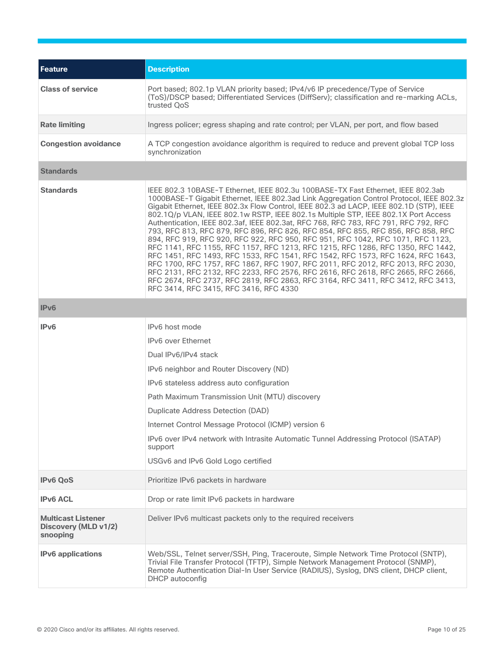| Feature                                                       | <b>Description</b>                                                                                                                                                                                                                                                                                                                                                                                                                                                                                                                                                                                                                                                                                                                                                                                                                                                                                                                                                                                                                                                                                   |  |  |  |
|---------------------------------------------------------------|------------------------------------------------------------------------------------------------------------------------------------------------------------------------------------------------------------------------------------------------------------------------------------------------------------------------------------------------------------------------------------------------------------------------------------------------------------------------------------------------------------------------------------------------------------------------------------------------------------------------------------------------------------------------------------------------------------------------------------------------------------------------------------------------------------------------------------------------------------------------------------------------------------------------------------------------------------------------------------------------------------------------------------------------------------------------------------------------------|--|--|--|
| <b>Class of service</b>                                       | Port based; 802.1p VLAN priority based; IPv4/v6 IP precedence/Type of Service<br>(ToS)/DSCP based; Differentiated Services (DiffServ); classification and re-marking ACLs,<br>trusted QoS                                                                                                                                                                                                                                                                                                                                                                                                                                                                                                                                                                                                                                                                                                                                                                                                                                                                                                            |  |  |  |
| <b>Rate limiting</b>                                          | Ingress policer; egress shaping and rate control; per VLAN, per port, and flow based                                                                                                                                                                                                                                                                                                                                                                                                                                                                                                                                                                                                                                                                                                                                                                                                                                                                                                                                                                                                                 |  |  |  |
| <b>Congestion avoidance</b>                                   | A TCP congestion avoidance algorithm is required to reduce and prevent global TCP loss<br>synchronization                                                                                                                                                                                                                                                                                                                                                                                                                                                                                                                                                                                                                                                                                                                                                                                                                                                                                                                                                                                            |  |  |  |
| <b>Standards</b>                                              |                                                                                                                                                                                                                                                                                                                                                                                                                                                                                                                                                                                                                                                                                                                                                                                                                                                                                                                                                                                                                                                                                                      |  |  |  |
| <b>Standards</b>                                              | IEEE 802.3 10BASE-T Ethernet, IEEE 802.3u 100BASE-TX Fast Ethernet, IEEE 802.3ab<br>1000BASE-T Gigabit Ethernet, IEEE 802.3ad Link Aggregation Control Protocol, IEEE 802.3z<br>Gigabit Ethernet, IEEE 802.3x Flow Control, IEEE 802.3 ad LACP, IEEE 802.1D (STP), IEEE<br>802.1Q/p VLAN, IEEE 802.1w RSTP, IEEE 802.1s Multiple STP, IEEE 802.1X Port Access<br>Authentication, IEEE 802.3af, IEEE 802.3at, RFC 768, RFC 783, RFC 791, RFC 792, RFC<br>793, RFC 813, RFC 879, RFC 896, RFC 826, RFC 854, RFC 855, RFC 856, RFC 858, RFC<br>894, RFC 919, RFC 920, RFC 922, RFC 950, RFC 951, RFC 1042, RFC 1071, RFC 1123,<br>RFC 1141, RFC 1155, RFC 1157, RFC 1213, RFC 1215, RFC 1286, RFC 1350, RFC 1442,<br>RFC 1451, RFC 1493, RFC 1533, RFC 1541, RFC 1542, RFC 1573, RFC 1624, RFC 1643,<br>RFC 1700, RFC 1757, RFC 1867, RFC 1907, RFC 2011, RFC 2012, RFC 2013, RFC 2030,<br>RFC 2131, RFC 2132, RFC 2233, RFC 2576, RFC 2616, RFC 2618, RFC 2665, RFC 2666,<br>RFC 2674, RFC 2737, RFC 2819, RFC 2863, RFC 3164, RFC 3411, RFC 3412, RFC 3413,<br>RFC 3414, RFC 3415, RFC 3416, RFC 4330 |  |  |  |
| IPv6                                                          |                                                                                                                                                                                                                                                                                                                                                                                                                                                                                                                                                                                                                                                                                                                                                                                                                                                                                                                                                                                                                                                                                                      |  |  |  |
| IPv6                                                          | IPv6 host mode<br><b>IPv6</b> over Ethernet<br>Dual IPv6/IPv4 stack<br>IPv6 neighbor and Router Discovery (ND)<br>IPv6 stateless address auto configuration<br>Path Maximum Transmission Unit (MTU) discovery<br>Duplicate Address Detection (DAD)<br>Internet Control Message Protocol (ICMP) version 6<br>IPv6 over IPv4 network with Intrasite Automatic Tunnel Addressing Protocol (ISATAP)<br>support<br>USGv6 and IPv6 Gold Logo certified                                                                                                                                                                                                                                                                                                                                                                                                                                                                                                                                                                                                                                                     |  |  |  |
| <b>IPv6 QoS</b>                                               | Prioritize IPv6 packets in hardware                                                                                                                                                                                                                                                                                                                                                                                                                                                                                                                                                                                                                                                                                                                                                                                                                                                                                                                                                                                                                                                                  |  |  |  |
| <b>IPv6 ACL</b>                                               | Drop or rate limit IPv6 packets in hardware                                                                                                                                                                                                                                                                                                                                                                                                                                                                                                                                                                                                                                                                                                                                                                                                                                                                                                                                                                                                                                                          |  |  |  |
| <b>Multicast Listener</b><br>Discovery (MLD v1/2)<br>snooping | Deliver IPv6 multicast packets only to the required receivers                                                                                                                                                                                                                                                                                                                                                                                                                                                                                                                                                                                                                                                                                                                                                                                                                                                                                                                                                                                                                                        |  |  |  |
| <b>IPv6</b> applications                                      | Web/SSL, Telnet server/SSH, Ping, Traceroute, Simple Network Time Protocol (SNTP),<br>Trivial File Transfer Protocol (TFTP), Simple Network Management Protocol (SNMP),<br>Remote Authentication Dial-In User Service (RADIUS), Syslog, DNS client, DHCP client,<br>DHCP autoconfig                                                                                                                                                                                                                                                                                                                                                                                                                                                                                                                                                                                                                                                                                                                                                                                                                  |  |  |  |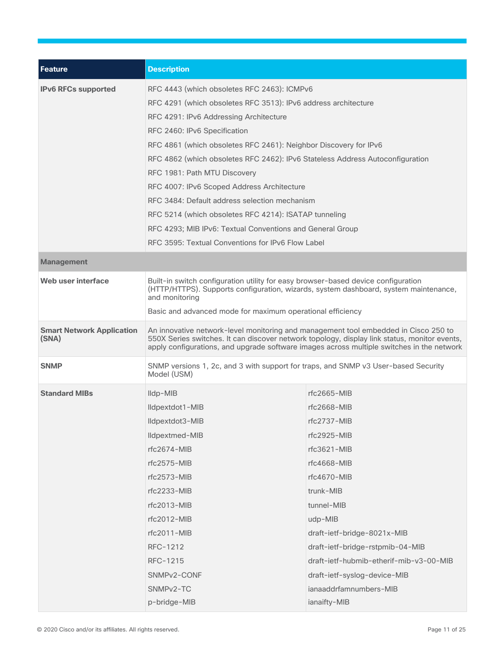| <b>Feature</b>                            | <b>Description</b>                                                                                                                                                                                                                                                                                                                        |                                         |  |  |  |
|-------------------------------------------|-------------------------------------------------------------------------------------------------------------------------------------------------------------------------------------------------------------------------------------------------------------------------------------------------------------------------------------------|-----------------------------------------|--|--|--|
| <b>IPv6 RFCs supported</b>                | RFC 4443 (which obsoletes RFC 2463): ICMPv6                                                                                                                                                                                                                                                                                               |                                         |  |  |  |
|                                           | RFC 4291 (which obsoletes RFC 3513): IPv6 address architecture<br>RFC 4291: IPv6 Addressing Architecture                                                                                                                                                                                                                                  |                                         |  |  |  |
|                                           |                                                                                                                                                                                                                                                                                                                                           |                                         |  |  |  |
|                                           | RFC 2460: IPv6 Specification                                                                                                                                                                                                                                                                                                              |                                         |  |  |  |
|                                           | RFC 4861 (which obsoletes RFC 2461): Neighbor Discovery for IPv6<br>RFC 4862 (which obsoletes RFC 2462): IPv6 Stateless Address Autoconfiguration<br>RFC 1981: Path MTU Discovery<br>RFC 4007: IPv6 Scoped Address Architecture<br>RFC 3484: Default address selection mechanism<br>RFC 5214 (which obsoletes RFC 4214): ISATAP tunneling |                                         |  |  |  |
|                                           |                                                                                                                                                                                                                                                                                                                                           |                                         |  |  |  |
|                                           |                                                                                                                                                                                                                                                                                                                                           |                                         |  |  |  |
|                                           |                                                                                                                                                                                                                                                                                                                                           |                                         |  |  |  |
|                                           |                                                                                                                                                                                                                                                                                                                                           |                                         |  |  |  |
|                                           |                                                                                                                                                                                                                                                                                                                                           |                                         |  |  |  |
|                                           | RFC 4293; MIB IPv6: Textual Conventions and General Group                                                                                                                                                                                                                                                                                 |                                         |  |  |  |
|                                           | RFC 3595: Textual Conventions for IPv6 Flow Label                                                                                                                                                                                                                                                                                         |                                         |  |  |  |
| <b>Management</b>                         |                                                                                                                                                                                                                                                                                                                                           |                                         |  |  |  |
| Web user interface                        | Built-in switch configuration utility for easy browser-based device configuration<br>(HTTP/HTTPS). Supports configuration, wizards, system dashboard, system maintenance,<br>and monitoring                                                                                                                                               |                                         |  |  |  |
|                                           | Basic and advanced mode for maximum operational efficiency                                                                                                                                                                                                                                                                                |                                         |  |  |  |
| <b>Smart Network Application</b><br>(SNA) | An innovative network-level monitoring and management tool embedded in Cisco 250 to<br>550X Series switches. It can discover network topology, display link status, monitor events,<br>apply configurations, and upgrade software images across multiple switches in the network                                                          |                                         |  |  |  |
| <b>SNMP</b>                               | SNMP versions 1, 2c, and 3 with support for traps, and SNMP v3 User-based Security<br>Model (USM)                                                                                                                                                                                                                                         |                                         |  |  |  |
| <b>Standard MIBs</b>                      |                                                                                                                                                                                                                                                                                                                                           | $rfc2665-MIB$                           |  |  |  |
|                                           | Ildpextdot1-MIB                                                                                                                                                                                                                                                                                                                           | $rfc2668-MIB$                           |  |  |  |
|                                           | Ildpextdot3-MIB                                                                                                                                                                                                                                                                                                                           | $rfc2737-MIB$                           |  |  |  |
|                                           | Ildpextmed-MIB                                                                                                                                                                                                                                                                                                                            | rfc2925-MIB                             |  |  |  |
|                                           | rfc2674-MIB                                                                                                                                                                                                                                                                                                                               | rfc3621-MIB                             |  |  |  |
|                                           | $rfc2575-MIB$                                                                                                                                                                                                                                                                                                                             | rfc4668-MIB                             |  |  |  |
|                                           | $rfc2573-MIB$                                                                                                                                                                                                                                                                                                                             | rfc4670-MIB                             |  |  |  |
|                                           | rfc2233-MIB                                                                                                                                                                                                                                                                                                                               | trunk-MIB                               |  |  |  |
|                                           | $rfc2013-MIB$                                                                                                                                                                                                                                                                                                                             | tunnel-MIB                              |  |  |  |
|                                           | rfc2012-MIB                                                                                                                                                                                                                                                                                                                               | udp-MIB                                 |  |  |  |
|                                           | rfc2011-MIB                                                                                                                                                                                                                                                                                                                               | draft-ietf-bridge-8021x-MIB             |  |  |  |
|                                           | RFC-1212                                                                                                                                                                                                                                                                                                                                  | draft-ietf-bridge-rstpmib-04-MIB        |  |  |  |
|                                           | RFC-1215                                                                                                                                                                                                                                                                                                                                  | draft-ietf-hubmib-etherif-mib-v3-00-MIB |  |  |  |
|                                           | SNMPv2-CONF                                                                                                                                                                                                                                                                                                                               | draft-ietf-syslog-device-MIB            |  |  |  |
|                                           | SNMP <sub>v2</sub> -TC                                                                                                                                                                                                                                                                                                                    | ianaaddrfamnumbers-MIB                  |  |  |  |
|                                           | p-bridge-MIB                                                                                                                                                                                                                                                                                                                              | ianaifty-MIB                            |  |  |  |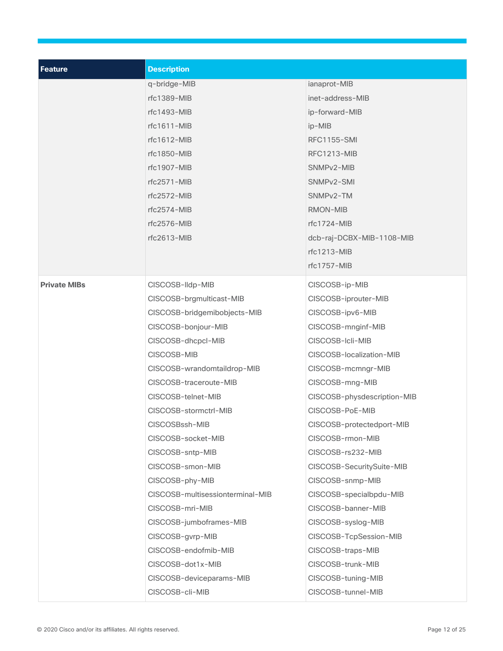| <b>Feature</b>      | <b>Description</b>               |                             |  |  |  |
|---------------------|----------------------------------|-----------------------------|--|--|--|
|                     | q-bridge-MIB                     | ianaprot-MIB                |  |  |  |
|                     | rfc1389-MIB                      | inet-address-MIB            |  |  |  |
|                     | rfc1493-MIB                      | ip-forward-MIB              |  |  |  |
|                     | rfc1611-MIB                      | ip-MIB                      |  |  |  |
|                     | rfc1612-MIB                      | <b>RFC1155-SMI</b>          |  |  |  |
|                     | rfc1850-MIB                      | <b>RFC1213-MIB</b>          |  |  |  |
|                     | rfc1907-MIB                      | SNMPv2-MIB                  |  |  |  |
|                     | $rfc2571-MIB$                    | SNMPv2-SMI                  |  |  |  |
|                     | $rfc2572-MIB$                    | SNMP <sub>v2</sub> -TM      |  |  |  |
|                     | $rfc2574-MIB$                    | RMON-MIB                    |  |  |  |
|                     | rfc2576-MIB                      | rfc1724-MIB                 |  |  |  |
|                     | rfc2613-MIB                      | dcb-raj-DCBX-MIB-1108-MIB   |  |  |  |
|                     |                                  | $rfc1213-MIB$               |  |  |  |
|                     |                                  | rfc1757-MIB                 |  |  |  |
| <b>Private MIBs</b> | CISCOSB-Ildp-MIB                 | CISCOSB-ip-MIB              |  |  |  |
|                     | CISCOSB-brgmulticast-MIB         | CISCOSB-iprouter-MIB        |  |  |  |
|                     | CISCOSB-bridgemibobjects-MIB     | CISCOSB-ipv6-MIB            |  |  |  |
|                     | CISCOSB-bonjour-MIB              | CISCOSB-mnginf-MIB          |  |  |  |
|                     | CISCOSB-dhcpcl-MIB               | CISCOSB-Icli-MIB            |  |  |  |
|                     | CISCOSB-MIB                      | CISCOSB-localization-MIB    |  |  |  |
|                     | CISCOSB-wrandomtaildrop-MIB      | CISCOSB-mcmngr-MIB          |  |  |  |
|                     | CISCOSB-traceroute-MIB           | CISCOSB-mng-MIB             |  |  |  |
|                     | CISCOSB-telnet-MIB               | CISCOSB-physdescription-MIB |  |  |  |
|                     | CISCOSB-stormctrl-MIB            | CISCOSB-PoE-MIB             |  |  |  |
|                     | CISCOSBssh-MIB                   | CISCOSB-protectedport-MIB   |  |  |  |
|                     | CISCOSB-socket-MIB               | CISCOSB-rmon-MIB            |  |  |  |
|                     | CISCOSB-sntp-MIB                 | CISCOSB-rs232-MIB           |  |  |  |
|                     | CISCOSB-smon-MIB                 | CISCOSB-SecuritySuite-MIB   |  |  |  |
|                     | CISCOSB-phy-MIB                  | CISCOSB-snmp-MIB            |  |  |  |
|                     | CISCOSB-multisessionterminal-MIB | CISCOSB-specialbpdu-MIB     |  |  |  |
|                     | CISCOSB-mri-MIB                  | CISCOSB-banner-MIB          |  |  |  |
|                     | CISCOSB-jumboframes-MIB          | CISCOSB-syslog-MIB          |  |  |  |
|                     | CISCOSB-gvrp-MIB                 | CISCOSB-TcpSession-MIB      |  |  |  |
|                     | CISCOSB-endofmib-MIB             | CISCOSB-traps-MIB           |  |  |  |
|                     | CISCOSB-dot1x-MIB                | CISCOSB-trunk-MIB           |  |  |  |
|                     | CISCOSB-deviceparams-MIB         | CISCOSB-tuning-MIB          |  |  |  |
|                     | CISCOSB-cli-MIB                  | CISCOSB-tunnel-MIB          |  |  |  |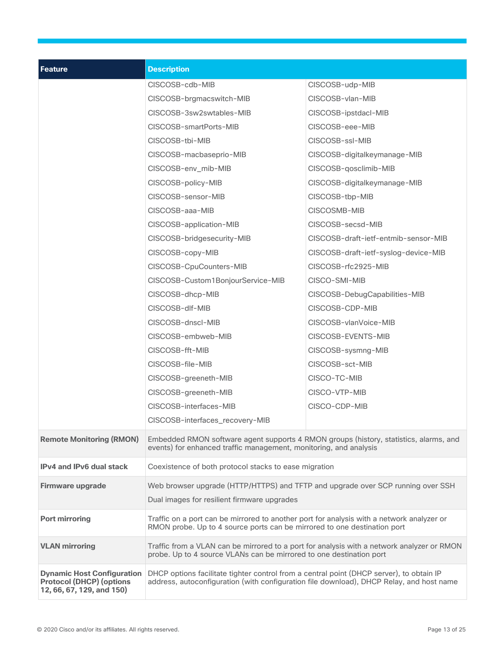| <b>Feature</b>                                                                                    | <b>Description</b>                                                                                                                                                                   |                                      |  |  |  |
|---------------------------------------------------------------------------------------------------|--------------------------------------------------------------------------------------------------------------------------------------------------------------------------------------|--------------------------------------|--|--|--|
|                                                                                                   | CISCOSB-cdb-MIB                                                                                                                                                                      | CISCOSB-udp-MIB                      |  |  |  |
|                                                                                                   | CISCOSB-brgmacswitch-MIB                                                                                                                                                             | CISCOSB-vlan-MIB                     |  |  |  |
|                                                                                                   | CISCOSB-3sw2swtables-MIB                                                                                                                                                             | CISCOSB-ipstdacl-MIB                 |  |  |  |
|                                                                                                   | CISCOSB-smartPorts-MIB                                                                                                                                                               | CISCOSB-eee-MIB                      |  |  |  |
|                                                                                                   | CISCOSB-tbi-MIB                                                                                                                                                                      | CISCOSB-ssI-MIB                      |  |  |  |
|                                                                                                   | CISCOSB-macbaseprio-MIB                                                                                                                                                              | CISCOSB-digitalkeymanage-MIB         |  |  |  |
|                                                                                                   | CISCOSB-env_mib-MIB                                                                                                                                                                  | CISCOSB-qosclimib-MIB                |  |  |  |
|                                                                                                   | CISCOSB-policy-MIB                                                                                                                                                                   | CISCOSB-digitalkeymanage-MIB         |  |  |  |
|                                                                                                   | CISCOSB-sensor-MIB                                                                                                                                                                   | CISCOSB-tbp-MIB                      |  |  |  |
|                                                                                                   | CISCOSB-aaa-MIB                                                                                                                                                                      | CISCOSMB-MIB                         |  |  |  |
|                                                                                                   | CISCOSB-application-MIB                                                                                                                                                              | CISCOSB-secsd-MIB                    |  |  |  |
|                                                                                                   | CISCOSB-bridgesecurity-MIB                                                                                                                                                           | CISCOSB-draft-ietf-entmib-sensor-MIB |  |  |  |
|                                                                                                   | CISCOSB-copy-MIB                                                                                                                                                                     | CISCOSB-draft-ietf-syslog-device-MIB |  |  |  |
|                                                                                                   | CISCOSB-CpuCounters-MIB                                                                                                                                                              | CISCOSB-rfc2925-MIB                  |  |  |  |
|                                                                                                   | CISCOSB-Custom1BonjourService-MIB                                                                                                                                                    | CISCO-SMI-MIB                        |  |  |  |
|                                                                                                   | CISCOSB-dhcp-MIB                                                                                                                                                                     | CISCOSB-DebugCapabilities-MIB        |  |  |  |
|                                                                                                   | CISCOSB-dlf-MIB                                                                                                                                                                      | CISCOSB-CDP-MIB                      |  |  |  |
|                                                                                                   | CISCOSB-dnscl-MIB                                                                                                                                                                    | CISCOSB-vlanVoice-MIB                |  |  |  |
|                                                                                                   | CISCOSB-embweb-MIB                                                                                                                                                                   | CISCOSB-EVENTS-MIB                   |  |  |  |
|                                                                                                   | CISCOSB-fft-MIB                                                                                                                                                                      | CISCOSB-sysmng-MIB                   |  |  |  |
|                                                                                                   | CISCOSB-file-MIB                                                                                                                                                                     | CISCOSB-sct-MIB                      |  |  |  |
|                                                                                                   | CISCOSB-greeneth-MIB                                                                                                                                                                 | CISCO-TC-MIB                         |  |  |  |
|                                                                                                   | CISCOSB-greeneth-MIB                                                                                                                                                                 | CISCO-VTP-MIB<br>CISCO-CDP-MIB       |  |  |  |
|                                                                                                   | CISCOSB-interfaces-MIB                                                                                                                                                               |                                      |  |  |  |
|                                                                                                   | CISCOSB-interfaces_recovery-MIB                                                                                                                                                      |                                      |  |  |  |
| <b>Remote Monitoring (RMON)</b>                                                                   | Embedded RMON software agent supports 4 RMON groups (history, statistics, alarms, and<br>events) for enhanced traffic management, monitoring, and analysis                           |                                      |  |  |  |
| <b>IPv4 and IPv6 dual stack</b>                                                                   | Coexistence of both protocol stacks to ease migration                                                                                                                                |                                      |  |  |  |
| Firmware upgrade                                                                                  | Web browser upgrade (HTTP/HTTPS) and TFTP and upgrade over SCP running over SSH                                                                                                      |                                      |  |  |  |
|                                                                                                   | Dual images for resilient firmware upgrades                                                                                                                                          |                                      |  |  |  |
| <b>Port mirroring</b>                                                                             | Traffic on a port can be mirrored to another port for analysis with a network analyzer or<br>RMON probe. Up to 4 source ports can be mirrored to one destination port                |                                      |  |  |  |
| <b>VLAN mirroring</b>                                                                             | Traffic from a VLAN can be mirrored to a port for analysis with a network analyzer or RMON<br>probe. Up to 4 source VLANs can be mirrored to one destination port                    |                                      |  |  |  |
| <b>Dynamic Host Configuration</b><br><b>Protocol (DHCP) (options</b><br>12, 66, 67, 129, and 150) | DHCP options facilitate tighter control from a central point (DHCP server), to obtain IP<br>address, autoconfiguration (with configuration file download), DHCP Relay, and host name |                                      |  |  |  |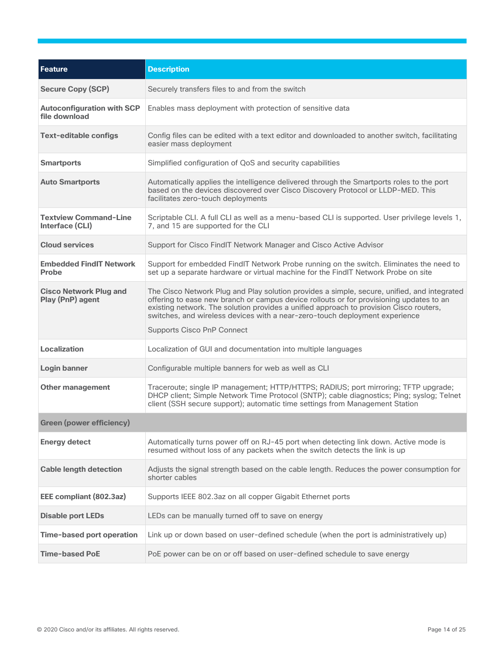| Feature                                            | <b>Description</b>                                                                                                                                                                                                                                                                                                                                                                                   |
|----------------------------------------------------|------------------------------------------------------------------------------------------------------------------------------------------------------------------------------------------------------------------------------------------------------------------------------------------------------------------------------------------------------------------------------------------------------|
| <b>Secure Copy (SCP)</b>                           | Securely transfers files to and from the switch                                                                                                                                                                                                                                                                                                                                                      |
| <b>Autoconfiguration with SCP</b><br>file download | Enables mass deployment with protection of sensitive data                                                                                                                                                                                                                                                                                                                                            |
| <b>Text-editable configs</b>                       | Config files can be edited with a text editor and downloaded to another switch, facilitating<br>easier mass deployment                                                                                                                                                                                                                                                                               |
| <b>Smartports</b>                                  | Simplified configuration of QoS and security capabilities                                                                                                                                                                                                                                                                                                                                            |
| <b>Auto Smartports</b>                             | Automatically applies the intelligence delivered through the Smartports roles to the port<br>based on the devices discovered over Cisco Discovery Protocol or LLDP-MED. This<br>facilitates zero-touch deployments                                                                                                                                                                                   |
| <b>Textview Command-Line</b><br>Interface (CLI)    | Scriptable CLI. A full CLI as well as a menu-based CLI is supported. User privilege levels 1,<br>7, and 15 are supported for the CLI                                                                                                                                                                                                                                                                 |
| <b>Cloud services</b>                              | Support for Cisco FindIT Network Manager and Cisco Active Advisor                                                                                                                                                                                                                                                                                                                                    |
| <b>Embedded FindIT Network</b><br><b>Probe</b>     | Support for embedded FindIT Network Probe running on the switch. Eliminates the need to<br>set up a separate hardware or virtual machine for the FindIT Network Probe on site                                                                                                                                                                                                                        |
| <b>Cisco Network Plug and</b><br>Play (PnP) agent  | The Cisco Network Plug and Play solution provides a simple, secure, unified, and integrated<br>offering to ease new branch or campus device rollouts or for provisioning updates to an<br>existing network. The solution provides a unified approach to provision Cisco routers,<br>switches, and wireless devices with a near-zero-touch deployment experience<br><b>Supports Cisco PnP Connect</b> |
| <b>Localization</b>                                | Localization of GUI and documentation into multiple languages                                                                                                                                                                                                                                                                                                                                        |
| Login banner                                       | Configurable multiple banners for web as well as CLI                                                                                                                                                                                                                                                                                                                                                 |
| <b>Other management</b>                            | Traceroute; single IP management; HTTP/HTTPS; RADIUS; port mirroring; TFTP upgrade;<br>DHCP client; Simple Network Time Protocol (SNTP); cable diagnostics; Ping; syslog; Telnet<br>client (SSH secure support); automatic time settings from Management Station                                                                                                                                     |
| <b>Green (power efficiency)</b>                    |                                                                                                                                                                                                                                                                                                                                                                                                      |
| <b>Energy detect</b>                               | Automatically turns power off on RJ-45 port when detecting link down. Active mode is<br>resumed without loss of any packets when the switch detects the link is up                                                                                                                                                                                                                                   |
| <b>Cable length detection</b>                      | Adjusts the signal strength based on the cable length. Reduces the power consumption for<br>shorter cables                                                                                                                                                                                                                                                                                           |
| EEE compliant (802.3az)                            | Supports IEEE 802.3az on all copper Gigabit Ethernet ports                                                                                                                                                                                                                                                                                                                                           |
| <b>Disable port LEDs</b>                           | LEDs can be manually turned off to save on energy                                                                                                                                                                                                                                                                                                                                                    |
| <b>Time-based port operation</b>                   | Link up or down based on user-defined schedule (when the port is administratively up)                                                                                                                                                                                                                                                                                                                |
| <b>Time-based PoE</b>                              | PoE power can be on or off based on user-defined schedule to save energy                                                                                                                                                                                                                                                                                                                             |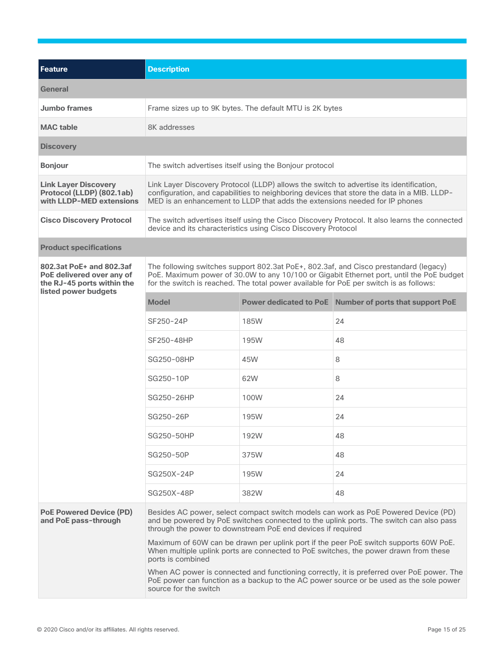| <b>Feature</b>                                                                                              | <b>Description</b>                                                                                                                                                                                                                                                         |                                                               |                                                                                               |  |  |
|-------------------------------------------------------------------------------------------------------------|----------------------------------------------------------------------------------------------------------------------------------------------------------------------------------------------------------------------------------------------------------------------------|---------------------------------------------------------------|-----------------------------------------------------------------------------------------------|--|--|
| <b>General</b>                                                                                              |                                                                                                                                                                                                                                                                            |                                                               |                                                                                               |  |  |
| <b>Jumbo frames</b>                                                                                         | Frame sizes up to 9K bytes. The default MTU is 2K bytes                                                                                                                                                                                                                    |                                                               |                                                                                               |  |  |
| <b>MAC</b> table                                                                                            | 8K addresses                                                                                                                                                                                                                                                               |                                                               |                                                                                               |  |  |
| <b>Discovery</b>                                                                                            |                                                                                                                                                                                                                                                                            |                                                               |                                                                                               |  |  |
| <b>Bonjour</b>                                                                                              |                                                                                                                                                                                                                                                                            | The switch advertises itself using the Bonjour protocol       |                                                                                               |  |  |
| <b>Link Layer Discovery</b><br>Protocol (LLDP) (802.1ab)<br>with LLDP-MED extensions                        | Link Layer Discovery Protocol (LLDP) allows the switch to advertise its identification,<br>configuration, and capabilities to neighboring devices that store the data in a MIB. LLDP-<br>MED is an enhancement to LLDP that adds the extensions needed for IP phones       |                                                               |                                                                                               |  |  |
| <b>Cisco Discovery Protocol</b>                                                                             |                                                                                                                                                                                                                                                                            | device and its characteristics using Cisco Discovery Protocol | The switch advertises itself using the Cisco Discovery Protocol. It also learns the connected |  |  |
| <b>Product specifications</b>                                                                               |                                                                                                                                                                                                                                                                            |                                                               |                                                                                               |  |  |
| 802.3at PoE+ and 802.3af<br>PoE delivered over any of<br>the RJ-45 ports within the<br>listed power budgets | The following switches support 802.3at PoE+, 802.3af, and Cisco prestandard (legacy)<br>PoE. Maximum power of 30.0W to any 10/100 or Gigabit Ethernet port, until the PoE budget<br>for the switch is reached. The total power available for PoE per switch is as follows: |                                                               |                                                                                               |  |  |
|                                                                                                             | <b>Model</b>                                                                                                                                                                                                                                                               |                                                               | Power dedicated to PoE Number of ports that support PoE                                       |  |  |
|                                                                                                             | SF250-24P                                                                                                                                                                                                                                                                  | <b>185W</b>                                                   | 24                                                                                            |  |  |
|                                                                                                             | SF250-48HP                                                                                                                                                                                                                                                                 | 195W                                                          | 48                                                                                            |  |  |
|                                                                                                             | SG250-08HP                                                                                                                                                                                                                                                                 | 45W                                                           | 8                                                                                             |  |  |
|                                                                                                             | SG250-10P                                                                                                                                                                                                                                                                  | 62W                                                           | 8                                                                                             |  |  |
|                                                                                                             | SG250-26HP                                                                                                                                                                                                                                                                 | 100W                                                          | 24                                                                                            |  |  |
|                                                                                                             | SG250-26P                                                                                                                                                                                                                                                                  | 195W                                                          | 24                                                                                            |  |  |
|                                                                                                             | SG250-50HP                                                                                                                                                                                                                                                                 | 192W                                                          | 48                                                                                            |  |  |
|                                                                                                             | SG250-50P                                                                                                                                                                                                                                                                  | 375W                                                          | 48                                                                                            |  |  |
|                                                                                                             | SG250X-24P                                                                                                                                                                                                                                                                 | 195W                                                          | 24                                                                                            |  |  |
|                                                                                                             | SG250X-48P                                                                                                                                                                                                                                                                 | 382W                                                          | 48                                                                                            |  |  |
| <b>PoE Powered Device (PD)</b><br>and PoE pass-through                                                      | Besides AC power, select compact switch models can work as PoE Powered Device (PD)<br>and be powered by PoE switches connected to the uplink ports. The switch can also pass<br>through the power to downstream PoE end devices if required                                |                                                               |                                                                                               |  |  |
|                                                                                                             | Maximum of 60W can be drawn per uplink port if the peer PoE switch supports 60W PoE.<br>When multiple uplink ports are connected to PoE switches, the power drawn from these<br>ports is combined                                                                          |                                                               |                                                                                               |  |  |
|                                                                                                             | When AC power is connected and functioning correctly, it is preferred over PoE power. The<br>PoE power can function as a backup to the AC power source or be used as the sole power<br>source for the switch                                                               |                                                               |                                                                                               |  |  |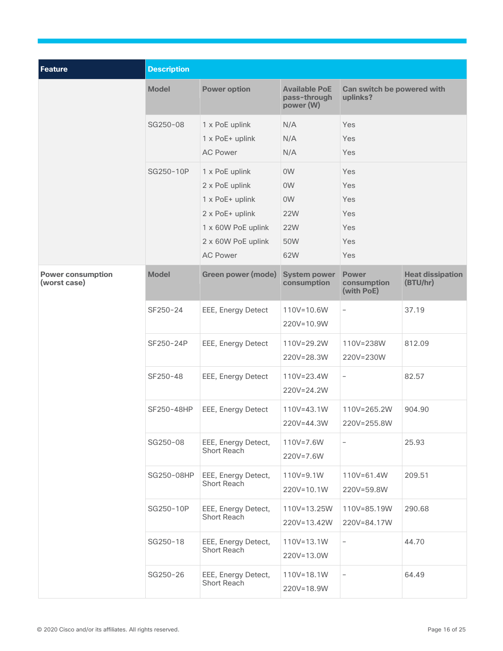| Feature                                  | <b>Description</b> |                                                                                                                                       |                                                                                              |                                               |                                     |  |
|------------------------------------------|--------------------|---------------------------------------------------------------------------------------------------------------------------------------|----------------------------------------------------------------------------------------------|-----------------------------------------------|-------------------------------------|--|
|                                          | <b>Model</b>       | <b>Power option</b>                                                                                                                   | <b>Available PoE</b><br>pass-through<br>power (W)                                            | Can switch be powered with<br>uplinks?        |                                     |  |
|                                          | SG250-08           | 1 x PoE uplink<br>1 x PoE+ uplink<br><b>AC Power</b>                                                                                  | N/A<br>N/A<br>N/A                                                                            | Yes<br>Yes<br>Yes                             |                                     |  |
|                                          | SG250-10P          | 1 x PoE uplink<br>2 x PoE uplink<br>1 x PoE+ uplink<br>2 x PoE+ uplink<br>1 x 60W PoE uplink<br>2 x 60W PoE uplink<br><b>AC Power</b> | 0 <sub>W</sub><br>0 <sub>W</sub><br>0 <sub>W</sub><br><b>22W</b><br><b>22W</b><br>50W<br>62W | Yes<br>Yes<br>Yes<br>Yes<br>Yes<br>Yes<br>Yes |                                     |  |
| <b>Power consumption</b><br>(worst case) | <b>Model</b>       | <b>Green power (mode)</b>                                                                                                             | <b>System power</b><br>consumption                                                           | <b>Power</b><br>consumption<br>(with PoE)     | <b>Heat dissipation</b><br>(BTU/hr) |  |
|                                          | SF250-24           | EEE, Energy Detect                                                                                                                    | 110V=10.6W<br>220V=10.9W                                                                     | $\qquad \qquad -$                             | 37.19                               |  |
|                                          | SF250-24P          | EEE, Energy Detect                                                                                                                    | 110V=29.2W<br>220V=28.3W                                                                     | 110V=238W<br>220V=230W                        | 812.09                              |  |
|                                          | SF250-48           | EEE, Energy Detect                                                                                                                    | 110V=23.4W<br>220V=24.2W                                                                     | $\overline{\phantom{a}}$                      | 82.57                               |  |
|                                          | SF250-48HP         | EEE, Energy Detect                                                                                                                    | 110V=43.1W<br>220V=44.3W                                                                     | 110V=265.2W<br>220V=255.8W                    | 904.90                              |  |
|                                          | SG250-08           | EEE, Energy Detect,<br>Short Reach                                                                                                    | 110V=7.6W<br>220V=7.6W                                                                       | $\overline{\phantom{a}}$                      | 25.93                               |  |
|                                          | SG250-08HP         | EEE, Energy Detect,<br>Short Reach                                                                                                    | 110V=9.1W<br>220V=10.1W                                                                      | $110V = 61.4W$<br>220V=59.8W                  | 209.51                              |  |
|                                          | SG250-10P          | EEE, Energy Detect,<br>Short Reach                                                                                                    | 110V=13.25W<br>220V=13.42W                                                                   | 110V=85.19W<br>220V=84.17W                    | 290.68                              |  |
|                                          | SG250-18           | EEE, Energy Detect,<br>Short Reach                                                                                                    | 110V=13.1W<br>220V=13.0W                                                                     | $\overline{\phantom{a}}$                      | 44.70                               |  |
|                                          | SG250-26           | EEE, Energy Detect,<br>Short Reach                                                                                                    | $110V = 18.1W$<br>220V=18.9W                                                                 | $\overline{\phantom{a}}$                      | 64.49                               |  |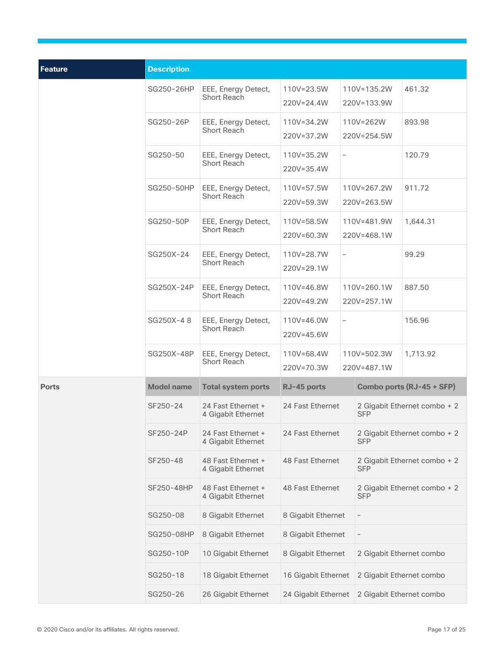| <b>Feature</b> | <b>Description</b> |                                           |                                                        |                            |                              |                              |  |
|----------------|--------------------|-------------------------------------------|--------------------------------------------------------|----------------------------|------------------------------|------------------------------|--|
|                | SG250-26HP         | EEE, Energy Detect,<br><b>Short Reach</b> | 110V=135.2W<br>110V=23.5W<br>220V=24.4W<br>220V=133.9W |                            |                              | 461.32                       |  |
|                | SG250-26P          | EEE, Energy Detect,<br><b>Short Reach</b> | 110V=34.2W<br>110V=262W<br>220V=37.2W<br>220V=254.5W   |                            | 893.98                       |                              |  |
|                | SG250-50           | EEE, Energy Detect,<br><b>Short Reach</b> | 110V=35.2W<br>220V=35.4W                               | $\overline{\phantom{a}}$   |                              | 120.79                       |  |
|                | SG250-50HP         | EEE, Energy Detect,<br>Short Reach        | 110V=57.5W<br>110V=267.2W<br>220V=59.3W<br>220V=263.5W |                            | 911.72                       |                              |  |
|                | SG250-50P          | EEE, Energy Detect,<br>Short Reach        | 110V=58.5W<br>220V=60.3W                               | 110V=481.9W<br>220V=468.1W |                              | 1,644.31                     |  |
|                | SG250X-24          | EEE, Energy Detect,<br>Short Reach        | 110V=28.7W<br>220V=29.1W                               | $\overline{\phantom{a}}$   |                              | 99.29                        |  |
|                | SG250X-24P         | EEE, Energy Detect,<br><b>Short Reach</b> | 110V=46.8W<br>220V=49.2W                               | 110V=260.1W<br>220V=257.1W |                              | 887.50                       |  |
|                | SG250X-48          | EEE, Energy Detect,<br>Short Reach        | 110V=46.0W<br>220V=45.6W                               | $\qquad \qquad -$          |                              | 156.96                       |  |
|                | SG250X-48P         | EEE, Energy Detect,<br><b>Short Reach</b> | 110V=68.4W<br>220V=70.3W                               |                            | 110V=502.3W<br>220V=487.1W   | 1,713.92                     |  |
| <b>Ports</b>   | <b>Model name</b>  | <b>Total system ports</b>                 | Combo ports (RJ-45 + SFP)<br>RJ-45 ports               |                            |                              |                              |  |
|                | SF250-24           | 24 Fast Ethernet +<br>4 Gigabit Ethernet  | 24 Fast Ethernet<br><b>SFP</b>                         |                            | 2 Gigabit Ethernet combo + 2 |                              |  |
|                | SF250-24P          | 24 Fast Ethernet +<br>4 Gigabit Ethernet  | 24 Fast Ethernet<br><b>SFP</b>                         |                            |                              | 2 Gigabit Ethernet combo + 2 |  |
|                | SF250-48           | 48 Fast Ethernet +<br>4 Gigabit Ethernet  | 48 Fast Ethernet<br>SFP                                |                            |                              | 2 Gigabit Ethernet combo + 2 |  |
|                | SF250-48HP         | 48 Fast Ethernet +<br>4 Gigabit Ethernet  | 48 Fast Ethernet<br><b>SFP</b>                         |                            |                              | 2 Gigabit Ethernet combo + 2 |  |
|                | SG250-08           | 8 Gigabit Ethernet                        | 8 Gigabit Ethernet                                     |                            |                              |                              |  |
|                | SG250-08HP         | 8 Gigabit Ethernet                        | 8 Gigabit Ethernet                                     |                            | $\overline{\phantom{a}}$     |                              |  |
|                | SG250-10P          | 10 Gigabit Ethernet                       | 8 Gigabit Ethernet                                     |                            | 2 Gigabit Ethernet combo     |                              |  |
|                | SG250-18           | 18 Gigabit Ethernet                       | 16 Gigabit Ethernet<br>2 Gigabit Ethernet combo        |                            |                              |                              |  |
|                | SG250-26           | 26 Gigabit Ethernet                       | 24 Gigabit Ethernet<br>2 Gigabit Ethernet combo        |                            |                              |                              |  |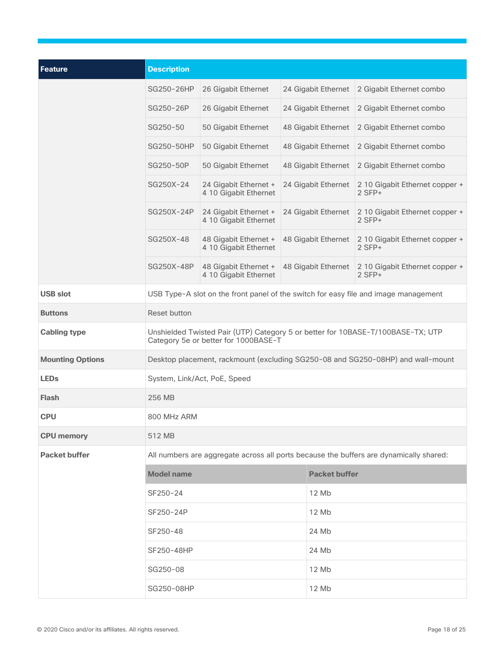| <b>Feature</b>          | <b>Description</b>                                                                                                      |                                                |                     |                                            |  |
|-------------------------|-------------------------------------------------------------------------------------------------------------------------|------------------------------------------------|---------------------|--------------------------------------------|--|
|                         | SG250-26HP                                                                                                              | 26 Gigabit Ethernet                            | 24 Gigabit Ethernet | 2 Gigabit Ethernet combo                   |  |
|                         | SG250-26P                                                                                                               | 26 Gigabit Ethernet                            | 24 Gigabit Ethernet | 2 Gigabit Ethernet combo                   |  |
|                         | SG250-50                                                                                                                | 50 Gigabit Ethernet                            | 48 Gigabit Ethernet | 2 Gigabit Ethernet combo                   |  |
|                         | SG250-50HP                                                                                                              | 50 Gigabit Ethernet                            | 48 Gigabit Ethernet | 2 Gigabit Ethernet combo                   |  |
|                         | SG250-50P                                                                                                               | 50 Gigabit Ethernet                            | 48 Gigabit Ethernet | 2 Gigabit Ethernet combo                   |  |
|                         | SG250X-24                                                                                                               | 24 Gigabit Ethernet +<br>4 10 Gigabit Ethernet | 24 Gigabit Ethernet | 2 10 Gigabit Ethernet copper +<br>$2$ SFP+ |  |
|                         | SG250X-24P                                                                                                              | 24 Gigabit Ethernet +<br>4 10 Gigabit Ethernet | 24 Gigabit Ethernet | 2 10 Gigabit Ethernet copper +<br>$2$ SFP+ |  |
|                         | SG250X-48                                                                                                               | 48 Gigabit Ethernet +<br>4 10 Gigabit Ethernet | 48 Gigabit Ethernet | 2 10 Gigabit Ethernet copper +<br>$2$ SFP+ |  |
|                         | SG250X-48P                                                                                                              | 48 Gigabit Ethernet +<br>4 10 Gigabit Ethernet | 48 Gigabit Ethernet | 2 10 Gigabit Ethernet copper +<br>$2$ SFP+ |  |
| <b>USB slot</b>         | USB Type-A slot on the front panel of the switch for easy file and image management                                     |                                                |                     |                                            |  |
| <b>Buttons</b>          | Reset button                                                                                                            |                                                |                     |                                            |  |
| <b>Cabling type</b>     | Unshielded Twisted Pair (UTP) Category 5 or better for 10BASE-T/100BASE-TX; UTP<br>Category 5e or better for 1000BASE-T |                                                |                     |                                            |  |
| <b>Mounting Options</b> | Desktop placement, rackmount (excluding SG250-08 and SG250-08HP) and wall-mount                                         |                                                |                     |                                            |  |
| <b>LEDs</b>             | System, Link/Act, PoE, Speed                                                                                            |                                                |                     |                                            |  |
| <b>Flash</b>            | 256 MB                                                                                                                  |                                                |                     |                                            |  |
| <b>CPU</b>              | 800 MHz ARM                                                                                                             |                                                |                     |                                            |  |
| <b>CPU memory</b>       | 512 MB                                                                                                                  |                                                |                     |                                            |  |
| <b>Packet buffer</b>    | All numbers are aggregate across all ports because the buffers are dynamically shared:                                  |                                                |                     |                                            |  |
|                         | <b>Model name</b>                                                                                                       |                                                |                     | <b>Packet buffer</b>                       |  |
|                         | SF250-24                                                                                                                |                                                | 12 Mb               |                                            |  |
|                         | SF250-24P                                                                                                               |                                                | 12 Mb               |                                            |  |
|                         | SF250-48                                                                                                                |                                                | 24 Mb               |                                            |  |
|                         | SF250-48HP                                                                                                              |                                                | 24 Mb               |                                            |  |
|                         | SG250-08                                                                                                                |                                                | 12 Mb               |                                            |  |
|                         | SG250-08HP                                                                                                              |                                                | 12 Mb               |                                            |  |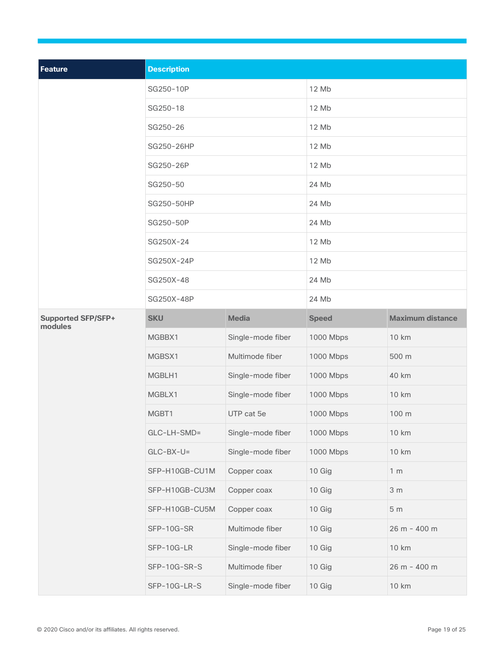| Feature                              | <b>Description</b> |                   |              |                         |  |
|--------------------------------------|--------------------|-------------------|--------------|-------------------------|--|
|                                      | SG250-10P          |                   | 12 Mb        |                         |  |
|                                      | SG250-18           |                   | 12 Mb        |                         |  |
|                                      | SG250-26           |                   | 12 Mb        |                         |  |
|                                      | SG250-26HP         |                   | 12 Mb        |                         |  |
|                                      | SG250-26P          |                   | 12 Mb        |                         |  |
|                                      | SG250-50           |                   | 24 Mb        |                         |  |
|                                      | SG250-50HP         |                   | 24 Mb        |                         |  |
|                                      | SG250-50P          |                   | 24 Mb        |                         |  |
|                                      | SG250X-24          |                   | 12 Mb        |                         |  |
|                                      | SG250X-24P         |                   | 12 Mb        |                         |  |
|                                      | SG250X-48          |                   | 24 Mb        |                         |  |
|                                      | SG250X-48P         |                   | 24 Mb        |                         |  |
| <b>Supported SFP/SFP+</b><br>modules | <b>SKU</b>         | <b>Media</b>      | <b>Speed</b> | <b>Maximum distance</b> |  |
|                                      | MGBBX1             | Single-mode fiber | 1000 Mbps    | 10 km                   |  |
|                                      | MGBSX1             | Multimode fiber   | 1000 Mbps    | 500 m                   |  |
|                                      | MGBLH1             | Single-mode fiber | 1000 Mbps    | 40 km                   |  |
|                                      | MGBLX1             | Single-mode fiber | 1000 Mbps    | 10 km                   |  |
|                                      | MGBT1              | UTP cat 5e        | 1000 Mbps    | 100 m                   |  |
|                                      | $GLC-LH-SMD=$      | Single-mode fiber | 1000 Mbps    | <b>10 km</b>            |  |
|                                      | $GLC-BX-U=$        | Single-mode fiber | 1000 Mbps    | 10 km                   |  |
|                                      | SFP-H10GB-CU1M     | Copper coax       | 10 Gig       | 1 <sub>m</sub>          |  |
|                                      | SFP-H10GB-CU3M     | Copper coax       | 10 Gig       | 3 <sub>m</sub>          |  |
|                                      | SFP-H10GB-CU5M     | Copper coax       | 10 Gig       | 5 <sub>m</sub>          |  |
|                                      | SFP-10G-SR         | Multimode fiber   | 10 Gig       | 26 m - 400 m            |  |
|                                      | SFP-10G-LR         | Single-mode fiber | 10 Gig       | <b>10 km</b>            |  |
|                                      | SFP-10G-SR-S       | Multimode fiber   | 10 Gig       | 26 m - 400 m            |  |
|                                      | SFP-10G-LR-S       | Single-mode fiber | 10 Gig       | 10 km                   |  |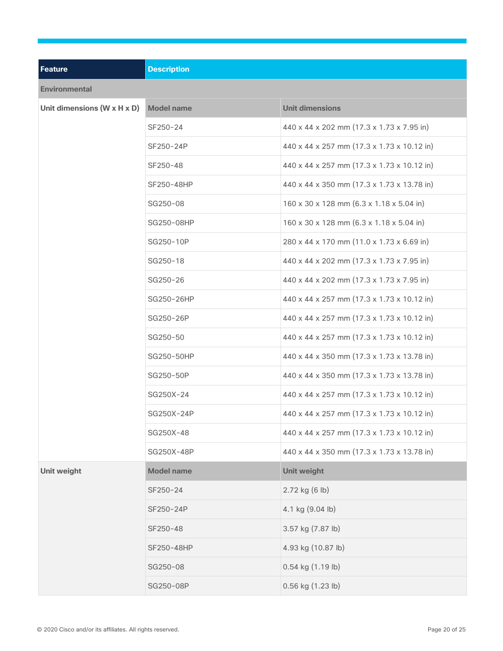| <b>Feature</b>              | <b>Description</b> |                                            |  |
|-----------------------------|--------------------|--------------------------------------------|--|
| <b>Environmental</b>        |                    |                                            |  |
| Unit dimensions (W x H x D) | <b>Model name</b>  | <b>Unit dimensions</b>                     |  |
|                             | SF250-24           | 440 x 44 x 202 mm (17.3 x 1.73 x 7.95 in)  |  |
|                             | SF250-24P          | 440 x 44 x 257 mm (17.3 x 1.73 x 10.12 in) |  |
|                             | SF250-48           | 440 x 44 x 257 mm (17.3 x 1.73 x 10.12 in) |  |
|                             | SF250-48HP         | 440 x 44 x 350 mm (17.3 x 1.73 x 13.78 in) |  |
|                             | SG250-08           | 160 x 30 x 128 mm (6.3 x 1.18 x 5.04 in)   |  |
|                             | SG250-08HP         | 160 x 30 x 128 mm (6.3 x 1.18 x 5.04 in)   |  |
|                             | SG250-10P          | 280 x 44 x 170 mm (11.0 x 1.73 x 6.69 in)  |  |
|                             | SG250-18           | 440 x 44 x 202 mm (17.3 x 1.73 x 7.95 in)  |  |
|                             | SG250-26           | 440 x 44 x 202 mm (17.3 x 1.73 x 7.95 in)  |  |
|                             | SG250-26HP         | 440 x 44 x 257 mm (17.3 x 1.73 x 10.12 in) |  |
|                             | SG250-26P          | 440 x 44 x 257 mm (17.3 x 1.73 x 10.12 in) |  |
|                             | SG250-50           | 440 x 44 x 257 mm (17.3 x 1.73 x 10.12 in) |  |
|                             | SG250-50HP         | 440 x 44 x 350 mm (17.3 x 1.73 x 13.78 in) |  |
|                             | SG250-50P          | 440 x 44 x 350 mm (17.3 x 1.73 x 13.78 in) |  |
|                             | SG250X-24          | 440 x 44 x 257 mm (17.3 x 1.73 x 10.12 in) |  |
|                             | SG250X-24P         | 440 x 44 x 257 mm (17.3 x 1.73 x 10.12 in) |  |
|                             | SG250X-48          | 440 x 44 x 257 mm (17.3 x 1.73 x 10.12 in) |  |
|                             | SG250X-48P         | 440 x 44 x 350 mm (17.3 x 1.73 x 13.78 in) |  |
| Unit weight                 | <b>Model name</b>  | <b>Unit weight</b>                         |  |
|                             | SF250-24           | 2.72 kg (6 lb)                             |  |
|                             | SF250-24P          | 4.1 kg (9.04 lb)                           |  |
|                             | SF250-48           | 3.57 kg (7.87 lb)                          |  |
|                             | SF250-48HP         | 4.93 kg (10.87 lb)                         |  |
|                             | SG250-08           | 0.54 kg (1.19 lb)                          |  |
|                             | SG250-08P          | 0.56 kg (1.23 lb)                          |  |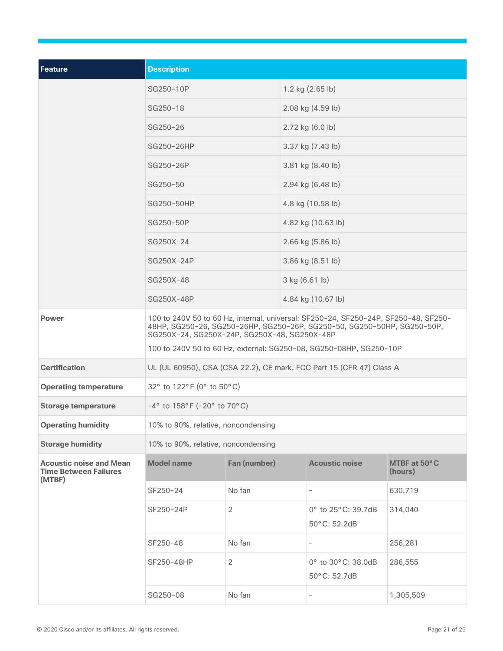| <b>Feature</b>                                                           | <b>Description</b>                                                                                                                                                                                             |                |                            |                                     |                         |  |  |
|--------------------------------------------------------------------------|----------------------------------------------------------------------------------------------------------------------------------------------------------------------------------------------------------------|----------------|----------------------------|-------------------------------------|-------------------------|--|--|
|                                                                          | SG250-10P                                                                                                                                                                                                      |                | 1.2 kg $(2.65 \text{ lb})$ |                                     |                         |  |  |
|                                                                          | SG250-18                                                                                                                                                                                                       |                | 2.08 kg (4.59 lb)          |                                     |                         |  |  |
|                                                                          | SG250-26                                                                                                                                                                                                       |                |                            | 2.72 kg (6.0 lb)                    |                         |  |  |
|                                                                          | SG250-26HP                                                                                                                                                                                                     |                |                            | 3.37 kg (7.43 lb)                   |                         |  |  |
|                                                                          | SG250-26P                                                                                                                                                                                                      |                |                            | 3.81 kg (8.40 lb)                   |                         |  |  |
|                                                                          | SG250-50                                                                                                                                                                                                       |                | 2.94 kg (6.48 lb)          |                                     |                         |  |  |
|                                                                          | SG250-50HP                                                                                                                                                                                                     |                |                            | 4.8 kg (10.58 lb)                   |                         |  |  |
|                                                                          | SG250-50P                                                                                                                                                                                                      |                |                            | 4.82 kg (10.63 lb)                  |                         |  |  |
|                                                                          | SG250X-24                                                                                                                                                                                                      |                |                            | 2.66 kg (5.86 lb)                   |                         |  |  |
|                                                                          | SG250X-24P                                                                                                                                                                                                     |                |                            | 3.86 kg (8.51 lb)                   |                         |  |  |
|                                                                          | SG250X-48                                                                                                                                                                                                      |                | 3 kg (6.61 lb)             |                                     |                         |  |  |
|                                                                          | SG250X-48P                                                                                                                                                                                                     |                | 4.84 kg (10.67 lb)         |                                     |                         |  |  |
| <b>Power</b>                                                             | 100 to 240V 50 to 60 Hz, internal, universal: SF250-24, SF250-24P, SF250-48, SF250-<br>48HP, SG250-26, SG250-26HP, SG250-26P, SG250-50, SG250-50HP, SG250-50P,<br>SG250X-24, SG250X-24P, SG250X-48, SG250X-48P |                |                            |                                     |                         |  |  |
|                                                                          | 100 to 240V 50 to 60 Hz, external: SG250-08, SG250-08HP, SG250-10P                                                                                                                                             |                |                            |                                     |                         |  |  |
| <b>Certification</b>                                                     | UL (UL 60950), CSA (CSA 22.2), CE mark, FCC Part 15 (CFR 47) Class A                                                                                                                                           |                |                            |                                     |                         |  |  |
| <b>Operating temperature</b>                                             | 32° to 122° F (0° to 50° C)                                                                                                                                                                                    |                |                            |                                     |                         |  |  |
| <b>Storage temperature</b>                                               | $-4^{\circ}$ to 158°F (-20° to 70°C)                                                                                                                                                                           |                |                            |                                     |                         |  |  |
| <b>Operating humidity</b>                                                | 10% to 90%, relative, noncondensing                                                                                                                                                                            |                |                            |                                     |                         |  |  |
| <b>Storage humidity</b>                                                  | 10% to 90%, relative, noncondensing                                                                                                                                                                            |                |                            |                                     |                         |  |  |
| <b>Acoustic noise and Mean</b><br><b>Time Between Failures</b><br>(MTBF) | <b>Model name</b>                                                                                                                                                                                              | Fan (number)   |                            | <b>Acoustic noise</b>               | MTBF at 50°C<br>(hours) |  |  |
|                                                                          | SF250-24                                                                                                                                                                                                       | No fan         |                            | $\overline{\phantom{0}}$            | 630,719                 |  |  |
|                                                                          | SF250-24P                                                                                                                                                                                                      | 2              |                            | 0° to 25° C: 39.7dB<br>50°C: 52.2dB | 314,040                 |  |  |
|                                                                          | SF250-48                                                                                                                                                                                                       | No fan         |                            | $\overline{\phantom{0}}$            | 256,281                 |  |  |
|                                                                          | SF250-48HP                                                                                                                                                                                                     | $\overline{2}$ |                            | 0° to 30° C: 38.0dB<br>50°C: 52.7dB | 286,555                 |  |  |
|                                                                          | SG250-08                                                                                                                                                                                                       | No fan         |                            | $\qquad \qquad -$                   | 1,305,509               |  |  |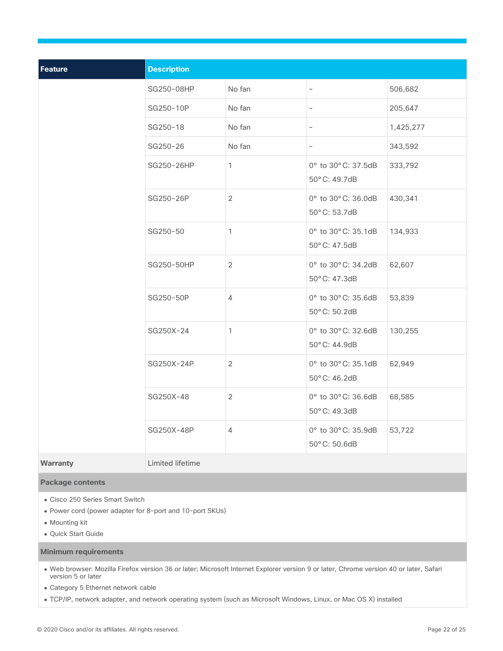| <b>Feature</b>  | <b>Description</b> |                |                                      |           |
|-----------------|--------------------|----------------|--------------------------------------|-----------|
|                 | SG250-08HP         | No fan         | -                                    | 506,682   |
|                 | SG250-10P          | No fan         | $\overline{\phantom{0}}$             | 205,647   |
|                 | SG250-18           | No fan         | $\overline{\phantom{a}}$             | 1,425,277 |
|                 | SG250-26           | No fan         | $\overline{\phantom{a}}$             | 343,592   |
|                 | SG250-26HP         | $\mathbf{1}$   | 0° to 30° C: 37.5dB<br>50°C: 49.7dB  | 333,792   |
|                 | SG250-26P          | 2              | 0° to 30° C: 36.0dB<br>50°C: 53.7dB  | 430,341   |
|                 | SG250-50           | $\mathbf{1}$   | 0° to 30° C: 35.1dB<br>50°C: 47.5dB  | 134,933   |
|                 | SG250-50HP         | 2              | 0° to 30° C: 34.2dB<br>50° C: 47.3dB | 62,607    |
|                 | SG250-50P          | $\overline{4}$ | 0° to 30° C: 35.6dB<br>50°C: 50.2dB  | 53,839    |
|                 | SG250X-24          | $\mathbf{1}$   | 0° to 30° C: 32.6dB<br>50°C: 44.9dB  | 130,255   |
|                 | SG250X-24P         | $\overline{2}$ | 0° to 30° C: 35.1dB<br>50°C: 46.2dB  | 62,949    |
|                 | SG250X-48          | $\overline{2}$ | 0° to 30° C: 36.6dB<br>50°C: 49.3dB  | 68,585    |
|                 | SG250X-48P         | $\overline{4}$ | 0° to 30° C: 35.9dB<br>50°C: 50.6dB  | 53,722    |
| <b>Warranty</b> | Limited lifetime   |                |                                      |           |

#### **Package contents**

- Cisco 250 Series Smart Switch
- Power cord (power adapter for 8-port and 10-port SKUs)
- Mounting kit
- Quick Start Guide

**Minimum requirements**

- Web browser: Mozilla Firefox version 36 or later; Microsoft Internet Explorer version 9 or later, Chrome version 40 or later, Safari version 5 or later
- Category 5 Ethernet network cable
- TCP/IP, network adapter, and network operating system (such as Microsoft Windows, Linux, or Mac OS X) installed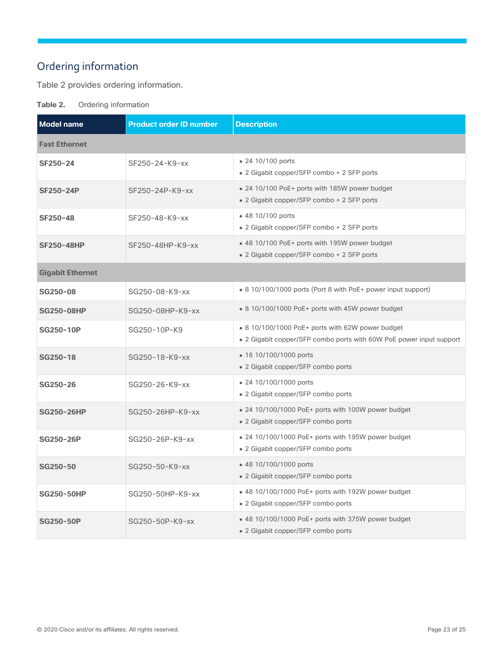### <span id="page-22-0"></span>Ordering information

Table 2 provides ordering information.

**Table 2.** Ordering information

| <b>Model name</b>       | <b>Product order ID number</b> | <b>Description</b>                                                                                                      |  |  |
|-------------------------|--------------------------------|-------------------------------------------------------------------------------------------------------------------------|--|--|
| <b>Fast Ethernet</b>    |                                |                                                                                                                         |  |  |
| <b>SF250-24</b>         | SF250-24-K9-xx                 | • 24 10/100 ports<br>• 2 Gigabit copper/SFP combo + 2 SFP ports                                                         |  |  |
| <b>SF250-24P</b>        | SF250-24P-K9-xx                | • 24 10/100 PoE+ ports with 185W power budget<br>• 2 Gigabit copper/SFP combo + 2 SFP ports                             |  |  |
| <b>SF250-48</b>         | SF250-48-K9-xx                 | • 48 10/100 ports<br>• 2 Gigabit copper/SFP combo + 2 SFP ports                                                         |  |  |
| <b>SF250-48HP</b>       | SF250-48HP-K9-xx               | • 48 10/100 PoE+ ports with 195W power budget<br>• 2 Gigabit copper/SFP combo + 2 SFP ports                             |  |  |
| <b>Gigabit Ethernet</b> |                                |                                                                                                                         |  |  |
| SG250-08                | SG250-08-K9-xx                 | • 8 10/100/1000 ports (Port 8 with PoE+ power input support)                                                            |  |  |
| <b>SG250-08HP</b>       | SG250-08HP-K9-xx               | • 8 10/100/1000 PoE+ ports with 45W power budget                                                                        |  |  |
| <b>SG250-10P</b>        | SG250-10P-K9                   | • 8 10/100/1000 PoE+ ports with 62W power budget<br>• 2 Gigabit copper/SFP combo ports with 60W PoE power input support |  |  |
| SG250-18                | SG250-18-K9-xx                 | • 16 10/100/1000 ports<br>• 2 Gigabit copper/SFP combo ports                                                            |  |  |
| SG250-26                | SG250-26-K9-xx                 | • 24 10/100/1000 ports<br>• 2 Gigabit copper/SFP combo ports                                                            |  |  |
| <b>SG250-26HP</b>       | SG250-26HP-K9-xx               | • 24 10/100/1000 PoE+ ports with 100W power budget<br>• 2 Gigabit copper/SFP combo ports                                |  |  |
| <b>SG250-26P</b>        | SG250-26P-K9-xx                | • 24 10/100/1000 PoE+ ports with 195W power budget<br>• 2 Gigabit copper/SFP combo ports                                |  |  |
| SG250-50                | SG250-50-K9-xx                 | • 48 10/100/1000 ports<br>• 2 Gigabit copper/SFP combo ports                                                            |  |  |
| <b>SG250-50HP</b>       | SG250-50HP-K9-xx               | • 48 10/100/1000 PoE+ ports with 192W power budget<br>• 2 Gigabit copper/SFP combo ports                                |  |  |
| <b>SG250-50P</b>        | SG250-50P-K9-xx                | • 48 10/100/1000 PoE+ ports with 375W power budget<br>• 2 Gigabit copper/SFP combo ports                                |  |  |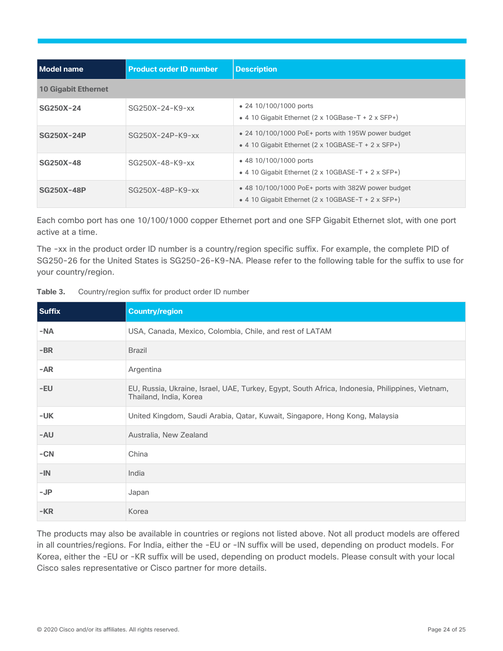| Model name                 | <b>Product order ID number</b> | <b>Description</b>                                                                                                                          |  |  |
|----------------------------|--------------------------------|---------------------------------------------------------------------------------------------------------------------------------------------|--|--|
| <b>10 Gigabit Ethernet</b> |                                |                                                                                                                                             |  |  |
| SG250X-24                  | $SG250X-24-K9-xx$              | • 24 10/100/1000 ports<br>• 4 10 Gigabit Ethernet $(2 \times 10)$ GBase-T + 2 x SFP+)                                                       |  |  |
| <b>SG250X-24P</b>          | $SG250X-24P-K9-xx$             | • 24 10/100/1000 PoE+ ports with 195W power budget<br>• 4 10 Gigabit Ethernet $(2 \times 10 \text{GBASE-T} + 2 \times \text{SFP+})$         |  |  |
| SG250X-48                  | $SG250X-48-K9-xx$              | • 48 10/100/1000 ports<br>• 4 10 Gigabit Ethernet $(2 \times 10 \text{GBASE-T} + 2 \times \text{SFP+})$                                     |  |  |
| <b>SG250X-48P</b>          | $SG250X-48P-K9-xx$             | $\bullet$ 48 10/100/1000 PoE+ ports with 382W power budget<br>• 4 10 Gigabit Ethernet $(2 \times 10 \text{GBASE-T} + 2 \times \text{SFP+})$ |  |  |

Each combo port has one 10/100/1000 copper Ethernet port and one SFP Gigabit Ethernet slot, with one port active at a time.

The -xx in the product order ID number is a country/region specific suffix. For example, the complete PID of SG250-26 for the United States is SG250-26-K9-NA. Please refer to the following table for the suffix to use for your country/region.

| <b>Suffix</b> | <b>Country/region</b>                                                                                                     |
|---------------|---------------------------------------------------------------------------------------------------------------------------|
| $-NA$         | USA, Canada, Mexico, Colombia, Chile, and rest of LATAM                                                                   |
| $-BR$         | <b>Brazil</b>                                                                                                             |
| $-AR$         | Argentina                                                                                                                 |
| $-EU$         | EU, Russia, Ukraine, Israel, UAE, Turkey, Egypt, South Africa, Indonesia, Philippines, Vietnam,<br>Thailand, India, Korea |
| $-UK$         | United Kingdom, Saudi Arabia, Qatar, Kuwait, Singapore, Hong Kong, Malaysia                                               |
| $-AU$         | Australia, New Zealand                                                                                                    |
| $-CN$         | China                                                                                                                     |
| $-IN$         | India                                                                                                                     |
| $-JP$         | Japan                                                                                                                     |
| $-KR$         | Korea                                                                                                                     |

The products may also be available in countries or regions not listed above. Not all product models are offered in all countries/regions. For India, either the -EU or -IN suffix will be used, depending on product models. For Korea, either the -EU or -KR suffix will be used, depending on product models. Please consult with your local Cisco sales representative or Cisco partner for more details.